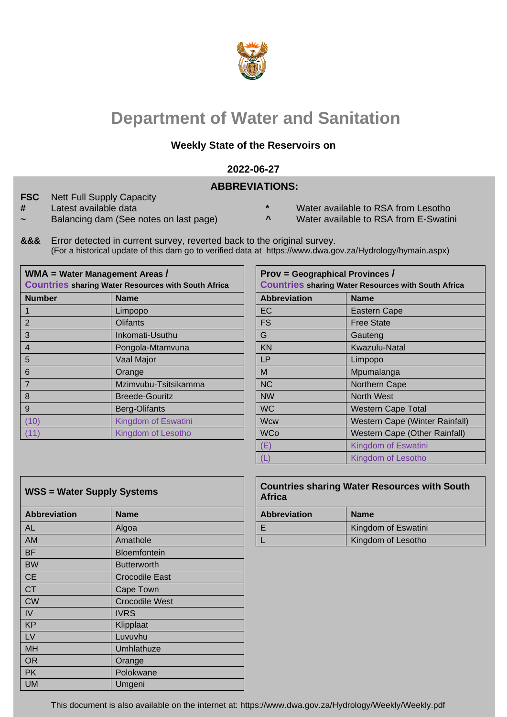

# **Department of Water and Sanitation**

## **Weekly State of the Reservoirs on**

#### **2022-06-27**

### **ABBREVIATIONS:**

- **FSC** Nett Full Supply Capacity
- 
- $a$  Balancing dam (See notes on last page)
- **#** Latest available data **\*** Water available to RSA from Lesotho
	-
- **&&&** Error detected in current survey, reverted back to the original survey. (For a historical update of this dam go to verified data at https://www.dwa.gov.za/Hydrology/hymain.aspx)

|                | WMA = Water Management Areas /<br><b>Countries sharing Water Resources with South Africa</b> | <b>Prov = Geographical Provinces /</b><br><b>Countries sharing Water Resources with South Africa</b> |                                |  |  |  |  |
|----------------|----------------------------------------------------------------------------------------------|------------------------------------------------------------------------------------------------------|--------------------------------|--|--|--|--|
| <b>Number</b>  | <b>Name</b>                                                                                  | <b>Abbreviation</b>                                                                                  | <b>Name</b>                    |  |  |  |  |
|                | Limpopo                                                                                      | <b>EC</b>                                                                                            | <b>Eastern Cape</b>            |  |  |  |  |
| $\overline{2}$ | <b>Olifants</b>                                                                              | <b>FS</b>                                                                                            | <b>Free State</b>              |  |  |  |  |
| 3              | Inkomati-Usuthu                                                                              | G                                                                                                    | Gauteng                        |  |  |  |  |
|                | Pongola-Mtamvuna                                                                             | <b>KN</b>                                                                                            | Kwazulu-Natal                  |  |  |  |  |
| 5              | Vaal Major                                                                                   | <b>LP</b>                                                                                            | Limpopo                        |  |  |  |  |
| 6              | Orange                                                                                       | M                                                                                                    | Mpumalanga                     |  |  |  |  |
|                | Mzimvubu-Tsitsikamma                                                                         | <b>NC</b>                                                                                            | Northern Cape                  |  |  |  |  |
| 8              | <b>Breede-Gouritz</b>                                                                        | <b>NW</b>                                                                                            | North West                     |  |  |  |  |
| 9              | Berg-Olifants                                                                                | <b>WC</b>                                                                                            | <b>Western Cape Total</b>      |  |  |  |  |
| (10)           | Kingdom of Eswatini                                                                          | <b>Wcw</b>                                                                                           | Western Cape (Winter Rainfall) |  |  |  |  |
| (11)           | Kingdom of Lesotho                                                                           | <b>WCo</b>                                                                                           | Western Cape (Other Rainfall)  |  |  |  |  |
|                |                                                                                              |                                                                                                      |                                |  |  |  |  |

| <b>Africa</b> | <b>Prov = Geographical Provinces /</b><br><b>Countries sharing Water Resources with South Africa</b> |                                       |  |  |  |  |  |  |  |  |
|---------------|------------------------------------------------------------------------------------------------------|---------------------------------------|--|--|--|--|--|--|--|--|
|               | <b>Abbreviation</b>                                                                                  | <b>Name</b>                           |  |  |  |  |  |  |  |  |
|               | EC                                                                                                   | <b>Eastern Cape</b>                   |  |  |  |  |  |  |  |  |
|               | <b>FS</b>                                                                                            | <b>Free State</b>                     |  |  |  |  |  |  |  |  |
|               | G                                                                                                    | Gauteng                               |  |  |  |  |  |  |  |  |
|               | <b>KN</b>                                                                                            | Kwazulu-Natal                         |  |  |  |  |  |  |  |  |
|               | LP                                                                                                   | Limpopo                               |  |  |  |  |  |  |  |  |
|               | М                                                                                                    | Mpumalanga                            |  |  |  |  |  |  |  |  |
|               | <b>NC</b>                                                                                            | Northern Cape                         |  |  |  |  |  |  |  |  |
|               | <b>NW</b>                                                                                            | <b>North West</b>                     |  |  |  |  |  |  |  |  |
|               | <b>WC</b>                                                                                            | <b>Western Cape Total</b>             |  |  |  |  |  |  |  |  |
|               | <b>Wcw</b>                                                                                           | <b>Western Cape (Winter Rainfall)</b> |  |  |  |  |  |  |  |  |
|               | <b>WCo</b>                                                                                           | <b>Western Cape (Other Rainfall)</b>  |  |  |  |  |  |  |  |  |
|               | (E)                                                                                                  | Kingdom of Eswatini                   |  |  |  |  |  |  |  |  |
|               |                                                                                                      | Kingdom of Lesotho                    |  |  |  |  |  |  |  |  |

| <b>WSS = Water Supply Systems</b> |                       | <b>Africa</b>       | <b>Countries sharing Water Resources w</b> |
|-----------------------------------|-----------------------|---------------------|--------------------------------------------|
| <b>Abbreviation</b>               | <b>Name</b>           | <b>Abbreviation</b> | <b>Name</b>                                |
| AL                                | Algoa                 | E                   | Kingdom of Eswatini                        |
| AM                                | Amathole              | L                   | Kingdom of Lesotho                         |
| <b>BF</b>                         | <b>Bloemfontein</b>   |                     |                                            |
| <b>BW</b>                         | <b>Butterworth</b>    |                     |                                            |
| <b>CE</b>                         | <b>Crocodile East</b> |                     |                                            |
| <b>CT</b>                         | Cape Town             |                     |                                            |
| <b>CW</b>                         | <b>Crocodile West</b> |                     |                                            |
| IV                                | <b>IVRS</b>           |                     |                                            |
| <b>KP</b>                         | Klipplaat             |                     |                                            |
| <b>LV</b>                         | Luvuvhu               |                     |                                            |
| <b>MH</b>                         | Umhlathuze            |                     |                                            |
| <b>OR</b>                         | Orange                |                     |                                            |
| <b>PK</b>                         | Polokwane             |                     |                                            |
| <b>UM</b>                         | Umgeni                |                     |                                            |

## WSS = Water Supply Systems **Countries sharing Water Resources with South Africa**

| <b>Abbreviation</b> | <b>Name</b>         |
|---------------------|---------------------|
|                     | Kingdom of Eswatini |
|                     | Kingdom of Lesotho  |

This document is also available on the internet at: https://www.dwa.gov.za/Hydrology/Weekly/Weekly.pdf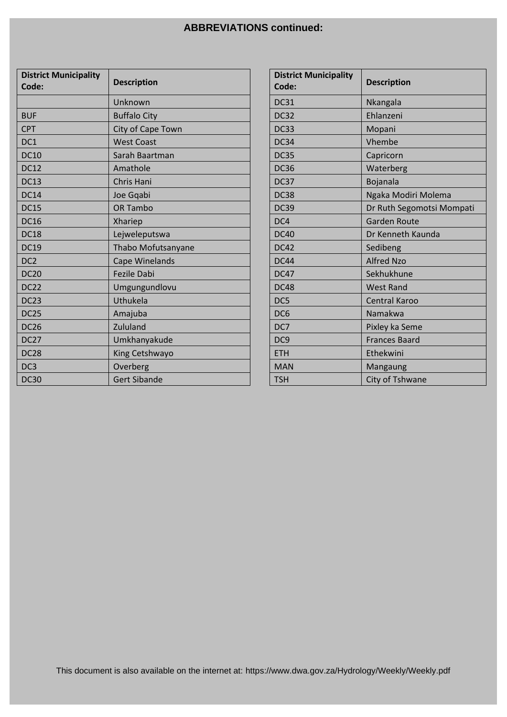## **ABBREVIATIONS continued:**

| <b>District Municipality</b><br>Code: | <b>Description</b>  | <b>District Municipality</b><br>Code: | <b>Description</b>        |
|---------------------------------------|---------------------|---------------------------------------|---------------------------|
|                                       | Unknown             | <b>DC31</b>                           | Nkangala                  |
| <b>BUF</b>                            | <b>Buffalo City</b> | <b>DC32</b>                           | Ehlanzeni                 |
| <b>CPT</b>                            | City of Cape Town   | DC33                                  | Mopani                    |
| DC1                                   | <b>West Coast</b>   | <b>DC34</b>                           | Vhembe                    |
| <b>DC10</b>                           | Sarah Baartman      | <b>DC35</b>                           | Capricorn                 |
| <b>DC12</b>                           | Amathole            | <b>DC36</b>                           | Waterberg                 |
| <b>DC13</b>                           | Chris Hani          | DC37                                  | Bojanala                  |
| <b>DC14</b>                           | Joe Gqabi           | <b>DC38</b>                           | Ngaka Modiri Molema       |
| <b>DC15</b>                           | OR Tambo            | <b>DC39</b>                           | Dr Ruth Segomotsi Mompati |
| <b>DC16</b>                           | Xhariep             | DC4                                   | <b>Garden Route</b>       |
| <b>DC18</b>                           | Lejweleputswa       | <b>DC40</b>                           | Dr Kenneth Kaunda         |
| <b>DC19</b>                           | Thabo Mofutsanyane  | <b>DC42</b>                           | Sedibeng                  |
| DC <sub>2</sub>                       | Cape Winelands      | <b>DC44</b>                           | <b>Alfred Nzo</b>         |
| <b>DC20</b>                           | Fezile Dabi         | <b>DC47</b>                           | Sekhukhune                |
| <b>DC22</b>                           | Umgungundlovu       | <b>DC48</b>                           | <b>West Rand</b>          |
| DC <sub>23</sub>                      | Uthukela            | DC5                                   | Central Karoo             |
| DC <sub>25</sub>                      | Amajuba             | DC <sub>6</sub>                       | Namakwa                   |
| <b>DC26</b>                           | Zululand            | DC7                                   | Pixley ka Seme            |
| <b>DC27</b>                           | Umkhanyakude        | DC <sub>9</sub>                       | <b>Frances Baard</b>      |
| <b>DC28</b>                           | King Cetshwayo      | <b>ETH</b>                            | Ethekwini                 |
| DC3                                   | Overberg            | <b>MAN</b>                            | Mangaung                  |
| <b>DC30</b>                           | <b>Gert Sibande</b> | <b>TSH</b>                            | City of Tshwane           |

| <b>District Municipality</b><br>Code: | <b>Description</b>        |
|---------------------------------------|---------------------------|
| <b>DC31</b>                           | Nkangala                  |
| <b>DC32</b>                           | Ehlanzeni                 |
| <b>DC33</b>                           | Mopani                    |
| DC34                                  | Vhembe                    |
| <b>DC35</b>                           | Capricorn                 |
| <b>DC36</b>                           | Waterberg                 |
| DC37                                  | <b>Bojanala</b>           |
| <b>DC38</b>                           | Ngaka Modiri Molema       |
| <b>DC39</b>                           | Dr Ruth Segomotsi Mompati |
| DC4                                   | <b>Garden Route</b>       |
| <b>DC40</b>                           | Dr Kenneth Kaunda         |
| <b>DC42</b>                           | Sedibeng                  |
| <b>DC44</b>                           | <b>Alfred Nzo</b>         |
| <b>DC47</b>                           | Sekhukhune                |
| DC48                                  | <b>West Rand</b>          |
| DC5                                   | <b>Central Karoo</b>      |
| DC <sub>6</sub>                       | Namakwa                   |
| DC7                                   | Pixley ka Seme            |
| DC <sub>9</sub>                       | <b>Frances Baard</b>      |
| <b>ETH</b>                            | Ethekwini                 |
| <b>MAN</b>                            | Mangaung                  |
| <b>TSH</b>                            | City of Tshwane           |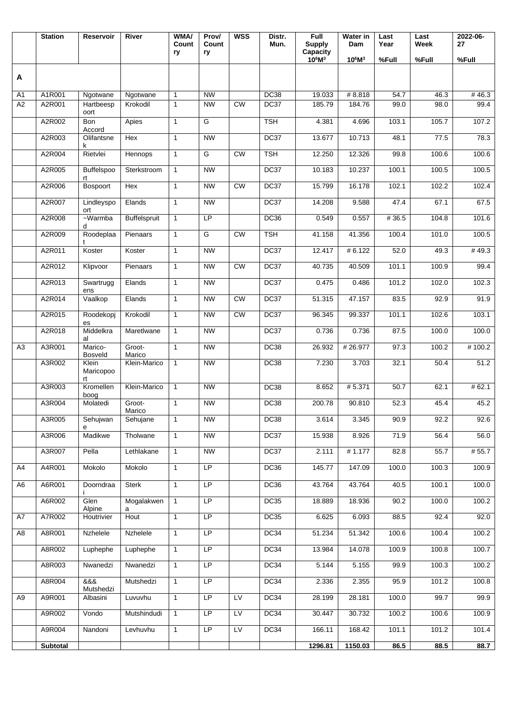|                | <b>Station</b>  | Reservoir                | River               | <b>WMA/</b><br>Count<br>ry | Prov/<br>Count<br>ry | <b>WSS</b>             | Distr.<br>Mun. | Full<br><b>Supply</b><br>Capacity | <b>Water in</b><br>Dam | Last<br>Year | Last<br>Week | 2022-06-<br>27 |
|----------------|-----------------|--------------------------|---------------------|----------------------------|----------------------|------------------------|----------------|-----------------------------------|------------------------|--------------|--------------|----------------|
|                |                 |                          |                     |                            |                      |                        |                | $10^6M^3$                         | $10^6M^3$              | %Full        | %Full        | %Full          |
| A              |                 |                          |                     |                            |                      |                        |                |                                   |                        |              |              |                |
| A1             | A1R001          | Ngotwane                 | Ngotwane            | $\mathbf{1}$               | <b>NW</b>            |                        | DC38           | 19.033                            | #8.818                 | 54.7         | 46.3         | #46.3          |
| A2             | A2R001          | Hartbeesp<br>oort        | Krokodil            | $\mathbf{1}$               | <b>NW</b>            | CW                     | DC37           | 185.79                            | 184.76                 | 99.0         | 98.0         | 99.4           |
|                | A2R002          | Bon<br>Accord            | Apies               | $\mathbf{1}$               | G                    |                        | <b>TSH</b>     | 4.381                             | 4.696                  | 103.1        | 105.7        | 107.2          |
|                | A2R003          | Olifantsne<br>k          | Hex                 | $\mathbf{1}$               | <b>NW</b>            |                        | DC37           | 13.677                            | 10.713                 | 48.1         | 77.5         | 78.3           |
|                | A2R004          | Rietvlei                 | Hennops             | $\mathbf{1}$               | G                    | $\overline{\text{CW}}$ | <b>TSH</b>     | 12.250                            | 12.326                 | 99.8         | 100.6        | 100.6          |
|                | A2R005          | <b>Buffelspoo</b><br>rt  | Sterkstroom         | $\mathbf{1}$               | <b>NW</b>            |                        | DC37           | 10.183                            | 10.237                 | 100.1        | 100.5        | 100.5          |
|                | A2R006          | Bospoort                 | Hex                 | $\mathbf{1}$               | <b>NW</b>            | CW                     | DC37           | 15.799                            | 16.178                 | 102.1        | 102.2        | 102.4          |
|                | A2R007          | Lindleyspo<br>ort        | Elands              | $\mathbf{1}$               | <b>NW</b>            |                        | DC37           | 14.208                            | 9.588                  | 47.4         | 67.1         | 67.5           |
|                | A2R008          | $-Warmba$<br>d           | <b>Buffelspruit</b> | $\mathbf{1}$               | LP                   |                        | <b>DC36</b>    | 0.549                             | 0.557                  | #36.5        | 104.8        | 101.6          |
|                | A2R009          | Roodeplaa                | Pienaars            | $\mathbf{1}$               | G                    | $\overline{\text{CW}}$ | <b>TSH</b>     | 41.158                            | 41.356                 | 100.4        | 101.0        | 100.5          |
|                | A2R011          | Koster                   | Koster              | $\mathbf{1}$               | NW                   |                        | DC37           | 12.417                            | # 6.122                | 52.0         | 49.3         | #49.3          |
|                | A2R012          | Klipvoor                 | Pienaars            | $\mathbf{1}$               | <b>NW</b>            | CW                     | DC37           | 40.735                            | 40.509                 | 101.1        | 100.9        | 99.4           |
|                | A2R013          | Swartrugg<br>ens         | Elands              | $\mathbf{1}$               | <b>NW</b>            |                        | DC37           | 0.475                             | 0.486                  | 101.2        | 102.0        | 102.3          |
|                | A2R014          | Vaalkop                  | Elands              | $\mathbf{1}$               | <b>NW</b>            | <b>CW</b>              | DC37           | 51.315                            | 47.157                 | 83.5         | 92.9         | 91.9           |
|                | A2R015          | Roodekopj<br>es          | Krokodil            | $\mathbf{1}$               | <b>NW</b>            | CW                     | DC37           | 96.345                            | 99.337                 | 101.1        | 102.6        | 103.1          |
|                | A2R018          | Middelkra<br>al          | Maretlwane          | $\mathbf{1}$               | <b>NW</b>            |                        | DC37           | 0.736                             | 0.736                  | 87.5         | 100.0        | 100.0          |
| A3             | A3R001          | Marico-<br>Bosveld       | Groot-<br>Marico    | $\mathbf{1}$               | <b>NW</b>            |                        | <b>DC38</b>    | 26.932                            | #26.977                | 97.3         | 100.2        | #100.2         |
|                | A3R002          | Klein<br>Maricopoo<br>rt | Klein-Marico        | $\mathbf{1}$               | <b>NW</b>            |                        | <b>DC38</b>    | 7.230                             | 3.703                  | 32.1         | 50.4         | 51.2           |
|                | A3R003          | Kromellen<br>boog        | Klein-Marico        | $\mathbf{1}$               | <b>NW</b>            |                        | <b>DC38</b>    | 8.652                             | #5.371                 | 50.7         | 62.1         | # 62.1         |
|                | A3R004          | Molatedi                 | Groot-<br>Marico    | $\mathbf{1}$               | <b>NW</b>            |                        | <b>DC38</b>    | 200.78                            | 90.810                 | 52.3         | 45.4         | 45.2           |
|                | A3R005          | Sehujwan<br>e            | Sehujane            | $\mathbf{1}$               | <b>NW</b>            |                        | <b>DC38</b>    | 3.614                             | 3.345                  | 90.9         | 92.2         | 92.6           |
|                | A3R006          | Madikwe                  | Tholwane            | $\mathbf{1}$               | <b>NW</b>            |                        | DC37           | 15.938                            | 8.926                  | 71.9         | 56.4         | 56.0           |
|                | A3R007          | Pella                    | Lethlakane          | $\mathbf{1}$               | <b>NW</b>            |                        | DC37           | 2.111                             | # 1.177                | 82.8         | 55.7         | # 55.7         |
| A4             | A4R001          | Mokolo                   | Mokolo              | $\mathbf{1}$               | LP                   |                        | DC36           | 145.77                            | 147.09                 | 100.0        | 100.3        | 100.9          |
| A <sub>6</sub> | A6R001          | Doorndraa                | <b>Sterk</b>        | $\mathbf{1}$               | <b>LP</b>            |                        | DC36           | 43.764                            | 43.764                 | 40.5         | 100.1        | 100.0          |
|                | A6R002          | Glen<br>Alpine           | Mogalakwen<br>a     | $\mathbf{1}$               | LP                   |                        | DC35           | 18.889                            | 18.936                 | 90.2         | 100.0        | 100.2          |
| A7             | A7R002          | Houtrivier               | Hout                | $\mathbf{1}$               | LP                   |                        | <b>DC35</b>    | 6.625                             | 6.093                  | 88.5         | 92.4         | 92.0           |
| A <sub>8</sub> | A8R001          | Nzhelele                 | Nzhelele            | $\mathbf{1}$               | LP                   |                        | DC34           | 51.234                            | 51.342                 | 100.6        | 100.4        | 100.2          |
|                | A8R002          | Luphephe                 | Luphephe            | $\mathbf{1}$               | LP                   |                        | DC34           | 13.984                            | 14.078                 | 100.9        | 100.8        | 100.7          |
|                | A8R003          | Nwanedzi                 | Nwanedzi            | $\mathbf{1}$               | LP                   |                        | DC34           | 5.144                             | 5.155                  | 99.9         | 100.3        | 100.2          |
|                | A8R004          | 888<br>Mutshedzi         | Mutshedzi           | $\mathbf{1}$               | LP                   |                        | DC34           | 2.336                             | 2.355                  | 95.9         | 101.2        | 100.8          |
| A <sub>9</sub> | A9R001          | Albasini                 | Luvuvhu             | $\mathbf{1}$               | LP                   | LV                     | DC34           | 28.199                            | 28.181                 | 100.0        | 99.7         | 99.9           |
|                | A9R002          | Vondo                    | Mutshindudi         | $\mathbf{1}$               | LP                   | <b>LV</b>              | DC34           | 30.447                            | 30.732                 | 100.2        | 100.6        | 100.9          |
|                | A9R004          | Nandoni                  | Levhuvhu            | $\mathbf{1}$               | LP                   | LV                     | DC34           | 166.11                            | 168.42                 | 101.1        | 101.2        | 101.4          |
|                | <b>Subtotal</b> |                          |                     |                            |                      |                        |                | 1296.81                           | 1150.03                | 86.5         | 88.5         | 88.7           |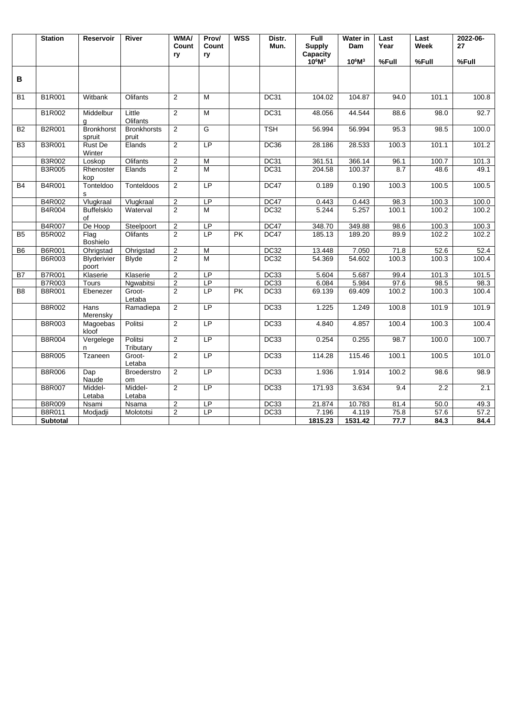|                 | <b>Station</b>  | Reservoir                   | <b>River</b>                | <b>WMA/</b><br>Count | Prov/<br>Count | <b>WSS</b> | Distr.<br>Mun. | Full<br><b>Supply</b> | Water in<br>Dam | Last<br>Year | Last<br>Week | 2022-06-<br>27 |
|-----------------|-----------------|-----------------------------|-----------------------------|----------------------|----------------|------------|----------------|-----------------------|-----------------|--------------|--------------|----------------|
|                 |                 |                             |                             | ry                   | ry             |            |                | Capacity<br>$10^6M^3$ | $10^6M^3$       | %Full        | %Full        | %Full          |
| В               |                 |                             |                             |                      |                |            |                |                       |                 |              |              |                |
| <b>B1</b>       | B1R001          | Witbank                     | Olifants                    | 2                    | M              |            | <b>DC31</b>    | 104.02                | 104.87          | 94.0         | 101.1        | 100.8          |
|                 | <b>B1R002</b>   | Middelbur<br>g              | Little<br>Olifants          | $\overline{2}$       | M              |            | <b>DC31</b>    | 48.056                | 44.544          | 88.6         | 98.0         | 92.7           |
| <b>B2</b>       | <b>B2R001</b>   | <b>Bronkhorst</b><br>spruit | <b>Bronkhorsts</b><br>pruit | 2                    | G              |            | <b>TSH</b>     | 56.994                | 56.994          | 95.3         | 98.5         | 100.0          |
| $\overline{B3}$ | <b>B3R001</b>   | <b>Rust De</b><br>Winter    | Elands                      | 2                    | LP             |            | <b>DC36</b>    | 28.186                | 28.533          | 100.3        | 101.1        | 101.2          |
|                 | <b>B3R002</b>   | Loskop                      | Olifants                    | $\overline{2}$       | M              |            | <b>DC31</b>    | 361.51                | 366.14          | 96.1         | 100.7        | 101.3          |
|                 | <b>B3R005</b>   | Rhenoster<br>kop            | Elands                      | $\overline{2}$       | $\overline{M}$ |            | <b>DC31</b>    | 204.58                | 100.37          | 8.7          | 48.6         | 49.1           |
| <b>B4</b>       | <b>B4R001</b>   | Tonteldoo<br>s              | Tonteldoos                  | 2                    | LP             |            | DC47           | 0.189                 | 0.190           | 100.3        | 100.5        | 100.5          |
|                 | B4R002          | Vlugkraal                   | Vlugkraal                   | $\sqrt{2}$           | LP             |            | DC47           | 0.443                 | 0.443           | 98.3         | 100.3        | 100.0          |
|                 | B4R004          | <b>Buffelsklo</b><br>of     | Waterval                    | $\overline{2}$       | M              |            | DC32           | 5.244                 | 5.257           | 100.1        | 100.2        | 100.2          |
|                 | <b>B4R007</b>   | De Hoop                     | Steelpoort                  | $\overline{2}$       | LP             |            | DC47           | 348.70                | 349.88          | 98.6         | 100.3        | 100.3          |
| B <sub>5</sub>  | B5R002          | Flag<br><b>Boshielo</b>     | Olifants                    | 2                    | LP             | PK         | DC47           | 185.13                | 189.20          | 89.9         | 102.2        | 102.2          |
| B <sub>6</sub>  | <b>B6R001</b>   | Ohrigstad                   | Ohrigstad                   | $\overline{2}$       | M              |            | <b>DC32</b>    | 13.448                | 7.050           | 71.8         | 52.6         | 52.4           |
|                 | <b>B6R003</b>   | Blyderivier<br>poort        | <b>Blyde</b>                | $\overline{2}$       | M              |            | <b>DC32</b>    | 54.369                | 54.602          | 100.3        | 100.3        | 100.4          |
| B7              | <b>B7R001</b>   | Klaserie                    | Klaserie                    | $\overline{2}$       | <b>LP</b>      |            | <b>DC33</b>    | 5.604                 | 5.687           | 99.4         | 101.3        | 101.5          |
|                 | <b>B7R003</b>   | <b>Tours</b>                | Ngwabitsi                   | $\overline{2}$       | LP             |            | <b>DC33</b>    | 6.084                 | 5.984           | 97.6         | 98.5         | 98.3           |
| B <sub>8</sub>  | <b>B8R001</b>   | Ebenezer                    | Groot-<br>Letaba            | 2                    | <b>LP</b>      | <b>PK</b>  | <b>DC33</b>    | 69.139                | 69.409          | 100.2        | 100.3        | 100.4          |
|                 | B8R002          | Hans<br>Merensky            | Ramadiepa                   | 2                    | <b>LP</b>      |            | <b>DC33</b>    | 1.225                 | 1.249           | 100.8        | 101.9        | 101.9          |
|                 | <b>B8R003</b>   | Magoebas<br>kloof           | Politsi                     | 2                    | LP             |            | <b>DC33</b>    | 4.840                 | 4.857           | 100.4        | 100.3        | 100.4          |
|                 | <b>B8R004</b>   | Vergelege<br>n              | Politsi<br>Tributary        | $\overline{2}$       | LP             |            | <b>DC33</b>    | 0.254                 | 0.255           | 98.7         | 100.0        | 100.7          |
|                 | <b>B8R005</b>   | Tzaneen                     | Groot-<br>Letaba            | $\overline{2}$       | L <sub>P</sub> |            | <b>DC33</b>    | 114.28                | 115.46          | 100.1        | 100.5        | 101.0          |
|                 | <b>B8R006</b>   | Dap<br>Naude                | <b>Broederstro</b><br>om    | 2                    | LP             |            | <b>DC33</b>    | 1.936                 | 1.914           | 100.2        | 98.6         | 98.9           |
|                 | <b>B8R007</b>   | Middel-<br>Letaba           | Middel-<br>Letaba           | $\overline{2}$       | <b>LP</b>      |            | DC33           | 171.93                | 3.634           | 9.4          | 2.2          | 2.1            |
|                 | <b>B8R009</b>   | Nsami                       | Nsama                       | $\overline{2}$       | LP             |            | <b>DC33</b>    | 21.874                | 10.783          | 81.4         | 50.0         | 49.3           |
|                 | B8R011          | Modjadji                    | Molototsi                   | $\overline{2}$       | LP             |            | DC33           | 7.196                 | 4.119           | 75.8         | 57.6         | 57.2           |
|                 | <b>Subtotal</b> |                             |                             |                      |                |            |                | 1815.23               | 1531.42         | 77.7         | 84.3         | 84.4           |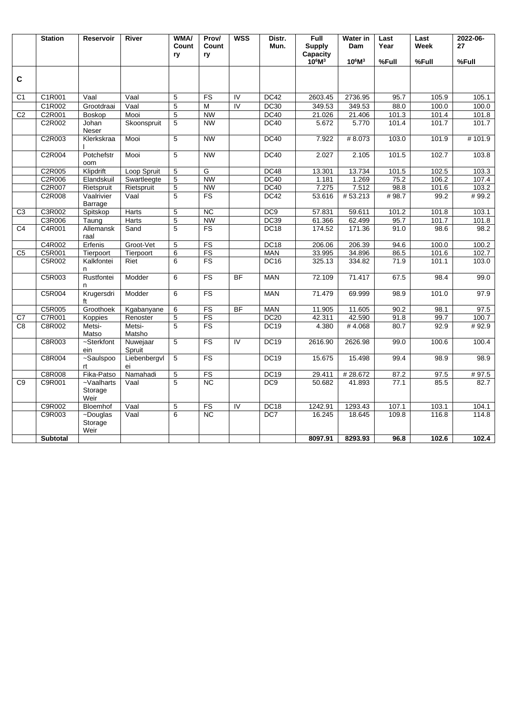|                | <b>Station</b>  | <b>Reservoir</b>                    | River              | <b>WMA/</b><br>Count | Prov/<br>Count           | <b>WSS</b>     | Distr.<br>Mun.   | Full<br><b>Supply</b> | <b>Water in</b><br>Dam | Last<br>Year | $\overline{\text{Last}}$<br>Week | 2022-06-<br>27 |
|----------------|-----------------|-------------------------------------|--------------------|----------------------|--------------------------|----------------|------------------|-----------------------|------------------------|--------------|----------------------------------|----------------|
|                |                 |                                     |                    | ry                   | ry                       |                |                  | Capacity<br>$10^6M^3$ | $10^6M^3$              | %Full        | %Full                            | %Full          |
| $\mathbf c$    |                 |                                     |                    |                      |                          |                |                  |                       |                        |              |                                  |                |
| C <sub>1</sub> | C1R001          | Vaal                                | Vaal               | 5                    | FS                       | $\overline{N}$ | DC42             | 2603.45               | 2736.95                | 95.7         | 105.9                            | 105.1          |
|                | C1R002          | Grootdraai                          | Vaal               | 5                    | M                        | $\overline{N}$ | <b>DC30</b>      | 349.53                | 349.53                 | 88.0         | 100.0                            | 100.0          |
| C <sub>2</sub> | C2R001          | Boskop                              | Mooi               | $\overline{5}$       | <b>NW</b>                |                | DC40             | 21.026                | 21.406                 | 101.3        | 101.4                            | 101.8          |
|                | C2R002          | Johan<br>Neser                      | Skoonspruit        | 5                    | <b>NW</b>                |                | DC40             | 5.672                 | 5.770                  | 101.4        | 101.7                            | 101.7          |
|                | C2R003          | Klerkskraa                          | Mooi               | 5                    | <b>NW</b>                |                | DC40             | 7.922                 | #8.073                 | 103.0        | 101.9                            | #101.9         |
|                | C2R004          | Potchefstr<br>oom                   | Mooi               | 5                    | <b>NW</b>                |                | <b>DC40</b>      | 2.027                 | 2.105                  | 101.5        | 102.7                            | 103.8          |
|                | C2R005          | Klipdrift                           | Loop Spruit        | 5                    | G                        |                | DC48             | 13.301                | 13.734                 | 101.5        | 102.5                            | 103.3          |
|                | C2R006          | Elandskuil                          | Swartleegte        | 5                    | <b>NW</b>                |                | DC40             | 1.181                 | 1.269                  | 75.2         | 106.2                            | 107.4          |
|                | C2R007          | Rietspruit                          | Rietspruit         | 5                    | <b>NW</b>                |                | <b>DC40</b>      | 7.275                 | 7.512                  | 98.8         | 101.6                            | 103.2          |
|                | C2R008          | Vaalrivier<br>Barrage               | Vaal               | 5                    | $\overline{\mathsf{FS}}$ |                | DC42             | 53.616                | #53.213                | #98.7        | 99.2                             | #99.2          |
| C3             | C3R002          | Spitskop                            | Harts              | 5                    | $\overline{\text{NC}}$   |                | DC <sub>9</sub>  | 57.831                | 59.611                 | 101.2        | 101.8                            | 103.1          |
|                | C3R006          | Taung                               | <b>Harts</b>       | $\overline{5}$       | <b>NW</b>                |                | <b>DC39</b>      | 61.366                | 62.499                 | 95.7         | 101.7                            | 101.8          |
| C <sub>4</sub> | C4R001          | Allemansk<br>raal                   | Sand               | 5                    | <b>FS</b>                |                | DC <sub>18</sub> | 174.52                | 171.36                 | 91.0         | 98.6                             | 98.2           |
|                | C4R002          | Erfenis                             | Groot-Vet          | 5                    | FS                       |                | DC18             | 206.06                | 206.39                 | 94.6         | 100.0                            | 100.2          |
| C <sub>5</sub> | C5R001          | Tierpoort                           | Tierpoort          | 6                    | FS                       |                | <b>MAN</b>       | 33.995                | 34.896                 | 86.5         | 101.6                            | 102.7          |
|                | C5R002          | Kalkfontei<br>n                     | Riet               | 6                    | FS                       |                | <b>DC16</b>      | 325.13                | 334.82                 | 71.9         | 101.1                            | 103.0          |
|                | C5R003          | Rustfontei<br>n                     | Modder             | 6                    | FS                       | <b>BF</b>      | <b>MAN</b>       | 72.109                | 71.417                 | 67.5         | 98.4                             | 99.0           |
|                | C5R004          | Krugersdri<br>ft                    | Modder             | 6                    | FS                       |                | <b>MAN</b>       | 71.479                | 69.999                 | 98.9         | 101.0                            | 97.9           |
|                | C5R005          | Groothoek                           | Kgabanyane         | 6                    | FS                       | BF             | <b>MAN</b>       | 11.905                | 11.605                 | 90.2         | 98.1                             | 97.5           |
| C7             | C7R001          | Koppies                             | Renoster           | 5                    | FS                       |                | DC20             | 42.311                | 42.590                 | 91.8         | 99.7                             | 100.7          |
| C <sub>8</sub> | C8R002          | Metsi-<br>Matso                     | Metsi-<br>Matsho   | 5                    | <b>FS</b>                |                | <b>DC19</b>      | 4.380                 | #4.068                 | 80.7         | 92.9                             | #92.9          |
|                | C8R003          | ~Sterkfont<br>ein                   | Nuwejaar<br>Spruit | $\overline{5}$       | FS                       | IV             | <b>DC19</b>      | 2616.90               | 2626.98                | 99.0         | 100.6                            | 100.4          |
|                | C8R004          | ~Saulspoo<br>rt                     | Liebenbergvl<br>ei | 5                    | FS                       |                | DC19             | 15.675                | 15.498                 | 99.4         | 98.9                             | 98.9           |
|                | <b>C8R008</b>   | Fika-Patso                          | Namahadi           | 5                    | FS                       |                | <b>DC19</b>      | 29.411                | #28.672                | 87.2         | 97.5                             | #97.5          |
| C <sub>9</sub> | C9R001          | $\sim$ Vaalharts<br>Storage<br>Weir | Vaal               | 5                    | NC                       |                | DC <sub>9</sub>  | 50.682                | 41.893                 | 77.1         | 85.5                             | 82.7           |
|                | C9R002          | Bloemhof                            | Vaal               | 5                    | FS                       | $\overline{N}$ | DC <sub>18</sub> | 1242.91               | 1293.43                | 107.1        | 103.1                            | 104.1          |
|                | C9R003          | ~Douglas<br>Storage<br>Weir         | Vaal               | 6                    | $\overline{NC}$          |                | DC7              | 16.245                | 18.645                 | 109.8        | 116.8                            | 114.8          |
|                | <b>Subtotal</b> |                                     |                    |                      |                          |                |                  | 8097.91               | 8293.93                | 96.8         | 102.6                            | 102.4          |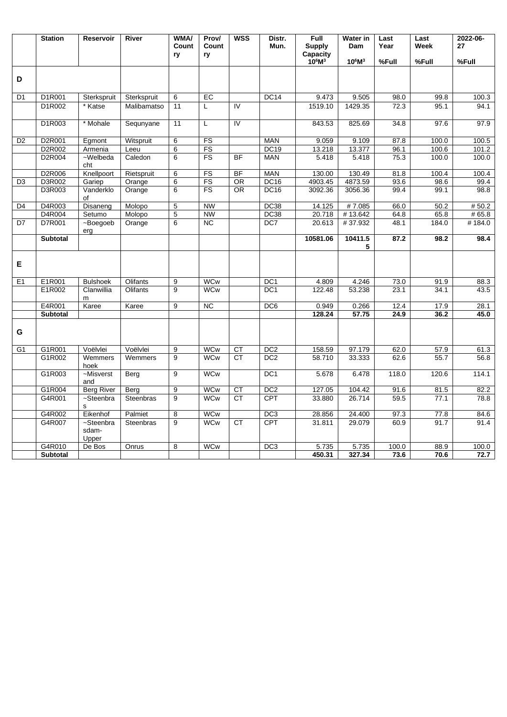|                | <b>Station</b>  | <b>Reservoir</b>             | <b>River</b>     | WMA/<br>Count    | Prov/<br>Count | <b>WSS</b>      | Distr.<br>Mun.  | Full<br><b>Supply</b> | Water in<br>Dam | Last<br>Year | Last<br>Week | 2022-06-<br>27 |
|----------------|-----------------|------------------------------|------------------|------------------|----------------|-----------------|-----------------|-----------------------|-----------------|--------------|--------------|----------------|
|                |                 |                              |                  | ry               | ry             |                 |                 | Capacity<br>$10^6M^3$ | $10^6M^3$       | %Full        | %Full        | %Full          |
| D              |                 |                              |                  |                  |                |                 |                 |                       |                 |              |              |                |
| D <sub>1</sub> | D1R001          | Sterkspruit                  | Sterkspruit      | 6                | EC             |                 | <b>DC14</b>     | 9.473                 | 9.505           | 98.0         | 99.8         | 100.3          |
|                | D1R002          | * Katse                      | Malibamatso      | 11               | L              | IV              |                 | 1519.10               | 1429.35         | 72.3         | 95.1         | 94.1           |
|                | D1R003          | * Mohale                     | Sequnyane        | 11               | L              | $\overline{N}$  |                 | 843.53                | 825.69          | 34.8         | 97.6         | 97.9           |
| D <sub>2</sub> | D2R001          | Egmont                       | Witspruit        | 6                | FS             |                 | <b>MAN</b>      | 9.059                 | 9.109           | 87.8         | 100.0        | 100.5          |
|                | D2R002          | Armenia                      | Leeu             | 6                | FS             |                 | <b>DC19</b>     | 13.218                | 13.377          | 96.1         | 100.6        | 101.2          |
|                | D2R004          | $\overline{-$ Welbeda<br>cht | Caledon          | 6                | <b>FS</b>      | <b>BF</b>       | <b>MAN</b>      | 5.418                 | 5.418           | 75.3         | 100.0        | 100.0          |
|                | D2R006          | Knellpoort                   | Rietspruit       | 6                | FS             | <b>BF</b>       | <b>MAN</b>      | 130.00                | 130.49          | 81.8         | 100.4        | 100.4          |
| D <sub>3</sub> | D3R002          | Gariep                       | Orange           | 6                | FS             | <b>OR</b>       | <b>DC16</b>     | 4903.45               | 4873.59         | 93.6         | 98.6         | 99.4           |
|                | D3R003          | Vanderklo<br>οf              | Orange           | 6                | FS             | <b>OR</b>       | <b>DC16</b>     | 3092.36               | 3056.36         | 99.4         | 99.1         | 98.8           |
| D4             | D4R003          | Disaneng                     | Molopo           | 5                | <b>NW</b>      |                 | DC38            | 14.125                | #7.085          | 66.0         | 50.2         | # 50.2         |
|                | D4R004          | Setumo                       | Molopo           | 5                | <b>NW</b>      |                 | <b>DC38</b>     | 20.718                | #13.642         | 64.8         | 65.8         | # 65.8         |
| D7             | D7R001          | ~Boegoeb<br>erg              | Orange           | 6                | <b>NC</b>      |                 | DC7             | 20.613                | #37.932         | 48.1         | 184.0        | #184.0         |
|                | <b>Subtotal</b> |                              |                  |                  |                |                 |                 | 10581.06              | 10411.5<br>5    | 87.2         | 98.2         | 98.4           |
| Е              |                 |                              |                  |                  |                |                 |                 |                       |                 |              |              |                |
| E1             | E1R001          | <b>Bulshoek</b>              | Olifants         | 9                | <b>WCw</b>     |                 | DC <sub>1</sub> | 4.809                 | 4.246           | 73.0         | 91.9         | 88.3           |
|                | E1R002          | Clanwillia<br>m              | Olifants         | 9                | <b>WCw</b>     |                 | DC <sub>1</sub> | 122.48                | 53.238          | 23.1         | 34.1         | 43.5           |
|                | E4R001          | Karee                        | Karee            | 9                | NC             |                 | DC6             | 0.949                 | 0.266           | 12.4         | 17.9         | 28.1           |
|                | <b>Subtotal</b> |                              |                  |                  |                |                 |                 | 128.24                | 57.75           | 24.9         | 36.2         | 45.0           |
| G              |                 |                              |                  |                  |                |                 |                 |                       |                 |              |              |                |
| G1             | G1R001          | Voëlvlei                     | Voëlvlei         | $\boldsymbol{9}$ | <b>WCw</b>     | CT              | DC <sub>2</sub> | 158.59                | 97.179          | 62.0         | 57.9         | 61.3           |
|                | G1R002          | Wemmers<br>hoek              | Wemmers          | 9                | <b>WCw</b>     | $\overline{CT}$ | DC <sub>2</sub> | 58.710                | 33.333          | 62.6         | 55.7         | 56.8           |
|                | G1R003          | ~Misverst<br>and             | Berg             | 9                | <b>WCw</b>     |                 | DC <sub>1</sub> | 5.678                 | 6.478           | 118.0        | 120.6        | 114.1          |
|                | G1R004          | <b>Berg River</b>            | Berg             | $\overline{9}$   | <b>WCw</b>     | CT              | DC <sub>2</sub> | 127.05                | 104.42          | 91.6         | 81.5         | 82.2           |
|                | G4R001          | ~Steenbra<br>s               | <b>Steenbras</b> | 9                | <b>WCw</b>     | <b>CT</b>       | <b>CPT</b>      | 33.880                | 26.714          | 59.5         | 77.1         | 78.8           |
|                | G4R002          | Eikenhof                     | Palmiet          | 8                | <b>WCw</b>     |                 | DC <sub>3</sub> | 28.856                | 24.400          | 97.3         | 77.8         | 84.6           |
|                | G4R007          | ~Steenbra<br>sdam-<br>Upper  | Steenbras        | 9                | <b>WCw</b>     | <b>CT</b>       | CPT             | 31.811                | 29.079          | 60.9         | 91.7         | 91.4           |
|                | G4R010          | De Bos                       | Onrus            | 8                | <b>WCw</b>     |                 | DC <sub>3</sub> | 5.735                 | 5.735           | 100.0        | 88.9         | 100.0          |
|                | <b>Subtotal</b> |                              |                  |                  |                |                 |                 | 450.31                | 327.34          | 73.6         | 70.6         | 72.7           |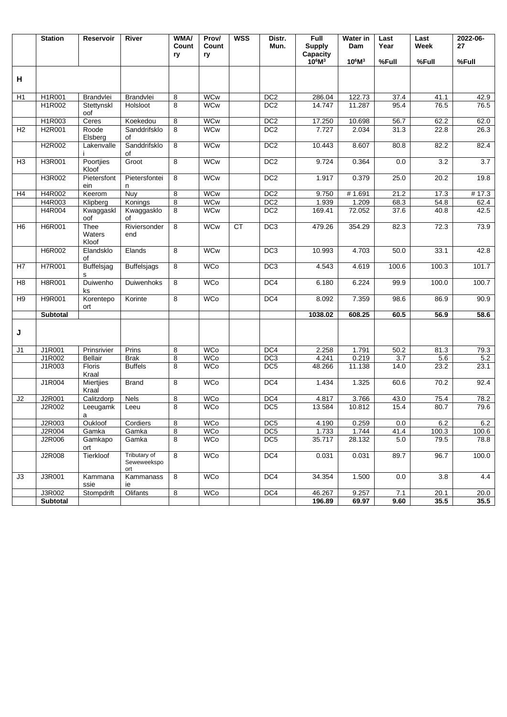|                | <b>Station</b>  | <b>Reservoir</b>        | River                              | <b>WMA/</b><br>Count | Prov/<br>Count | <b>WSS</b> | Distr.<br>Mun.  | Full<br><b>Supply</b> | <b>Water in</b><br>Dam | Last<br>Year | Last<br>Week | 2022-06-<br>27    |
|----------------|-----------------|-------------------------|------------------------------------|----------------------|----------------|------------|-----------------|-----------------------|------------------------|--------------|--------------|-------------------|
|                |                 |                         |                                    | ry                   | ry             |            |                 | Capacity<br>$10^6M^3$ | $10^6M^3$              | %Full        | %Full        | %Full             |
| н              |                 |                         |                                    |                      |                |            |                 |                       |                        |              |              |                   |
| H1             | H1R001          | Brandvlei               | Brandvlei                          | 8                    | <b>WCw</b>     |            | DC <sub>2</sub> | 286.04                | 122.73                 | 37.4         | 41.1         | 42.9              |
|                | H1R002          | Stettynskl<br>oof       | Holsloot                           | 8                    | <b>WCw</b>     |            | DC <sub>2</sub> | 14.747                | 11.287                 | 95.4         | 76.5         | 76.5              |
|                | H1R003          | Ceres                   | Koekedou                           | 8                    | <b>WCw</b>     |            | DC <sub>2</sub> | 17.250                | 10.698                 | 56.7         | 62.2         | 62.0              |
| H <sub>2</sub> | H2R001          | Roode<br>Elsberg        | Sanddrifsklo<br>οf                 | 8                    | <b>WCw</b>     |            | DC <sub>2</sub> | 7.727                 | 2.034                  | 31.3         | 22.8         | 26.3              |
|                | H2R002          | Lakenvalle              | Sanddrifsklo<br>οf                 | 8                    | <b>WCw</b>     |            | DC <sub>2</sub> | 10.443                | 8.607                  | 80.8         | 82.2         | 82.4              |
| H <sub>3</sub> | H3R001          | Poortjies<br>Kloof      | Groot                              | 8                    | <b>WCw</b>     |            | DC2             | 9.724                 | 0.364                  | 0.0          | 3.2          | $\overline{3.7}$  |
|                | H3R002          | Pietersfont<br>ein      | Pietersfontei<br>n                 | 8                    | <b>WCw</b>     |            | DC <sub>2</sub> | 1.917                 | 0.379                  | 25.0         | 20.2         | 19.8              |
| H <sub>4</sub> | H4R002          | Keerom                  | Nuy                                | 8                    | <b>WCw</b>     |            | D <sub>C2</sub> | 9.750                 | #1.691                 | 21.2         | 17.3         | # $17.3$          |
|                | H4R003          | Klipberg                | Konings                            | 8                    | <b>WCw</b>     |            | DC <sub>2</sub> | 1.939                 | 1.209                  | 68.3         | 54.8         | 62.4              |
|                | H4R004          | Kwaggaskl<br>oof        | Kwaggasklo<br>of                   | 8                    | <b>WCw</b>     |            | DC <sub>2</sub> | 169.41                | 72.052                 | 37.6         | 40.8         | 42.5              |
| H <sub>6</sub> | H6R001          | Thee<br>Waters<br>Kloof | Riviersonder<br>end                | 8                    | <b>WCw</b>     | <b>CT</b>  | DC <sub>3</sub> | 479.26                | 354.29                 | 82.3         | 72.3         | 73.9              |
|                | <b>H6R002</b>   | Elandsklo<br>οf         | Elands                             | $\overline{8}$       | <b>WCw</b>     |            | DC3             | 10.993                | 4.703                  | 50.0         | 33.1         | 42.8              |
| H7             | H7R001          | Buffelsjag<br>s         | <b>Buffelsjags</b>                 | 8                    | <b>WCo</b>     |            | DC <sub>3</sub> | 4.543                 | 4.619                  | 100.6        | 100.3        | 101.7             |
| H <sub>8</sub> | H8R001          | Duiwenho<br>ks          | Duiwenhoks                         | 8                    | <b>WCo</b>     |            | DC4             | 6.180                 | 6.224                  | 99.9         | 100.0        | 100.7             |
| H <sub>9</sub> | H9R001          | Korentepo<br>ort        | Korinte                            | 8                    | <b>WCo</b>     |            | DC4             | 8.092                 | 7.359                  | 98.6         | 86.9         | 90.9              |
|                | <b>Subtotal</b> |                         |                                    |                      |                |            |                 | 1038.02               | 608.25                 | 60.5         | 56.9         | 58.6              |
| J              |                 |                         |                                    |                      |                |            |                 |                       |                        |              |              |                   |
| J1             | J1R001          | Prinsrivier             | Prins                              | 8                    | <b>WCo</b>     |            | DC4             | 2.258                 | 1.791                  | 50.2         | 81.3         | 79.3              |
|                | J1R002          | <b>Bellair</b>          | <b>Brak</b>                        | 8                    | <b>WCo</b>     |            | DC <sub>3</sub> | 4.241                 | 0.219                  | 3.7          | 5.6          | 5.2               |
|                | J1R003          | <b>Floris</b><br>Kraal  | <b>Buffels</b>                     | 8                    | <b>WCo</b>     |            | DC <sub>5</sub> | 48.266                | 11.138                 | 14.0         | 23.2         | 23.1              |
|                | J1R004          | Miertjies<br>Kraal      | <b>Brand</b>                       | 8                    | <b>WCo</b>     |            | DC4             | 1.434                 | 1.325                  | 60.6         | 70.2         | 92.4              |
| J2             | J2R001          | Calitzdorp              | <b>Nels</b>                        | 8                    | <b>WCo</b>     |            | DC4             | 4.817                 | 3.766                  | 43.0         | 75.4         | 78.2              |
|                | J2R002          | Leeugamk<br>a           | Leeu                               | 8                    | <b>WCo</b>     |            | DC <sub>5</sub> | 13.584                | 10.812                 | 15.4         | 80.7         | 79.6              |
|                | J2R003          | Oukloof                 | Cordiers                           | 8                    | <b>WCo</b>     |            | DC <sub>5</sub> | 4.190                 | 0.259                  | 0.0          | 6.2          | 6.2               |
|                | <b>J2R004</b>   | Gamka                   | Gamka                              | $\overline{8}$       | WCo            |            | DC <sub>5</sub> | 1.733                 | 1.744                  | 41.4         | 100.3        | 100.6             |
|                | J2R006          | Gamkapo<br>ort          | Gamka                              | 8                    | <b>WCo</b>     |            | DC <sub>5</sub> | 35.717                | 28.132                 | 5.0          | 79.5         | 78.8              |
|                | J2R008          | Tierkloof               | Tributary of<br>Seweweekspo<br>ort | $\overline{8}$       | <b>WCo</b>     |            | DC4             | 0.031                 | 0.031                  | 89.7         | 96.7         | 100.0             |
| J3             | J3R001          | Kammana<br>ssie         | Kammanass<br>ie                    | 8                    | <b>WCo</b>     |            | DC4             | 34.354                | 1.500                  | 0.0          | 3.8          | 4.4               |
|                | J3R002          | Stompdrift              | Olifants                           | 8                    | WCo            |            | DC4             | 46.267                | 9.257                  | 7.1          | 20.1         | $\overline{20.0}$ |
|                | <b>Subtotal</b> |                         |                                    |                      |                |            |                 | 196.89                | 69.97                  | 9.60         | 35.5         | 35.5              |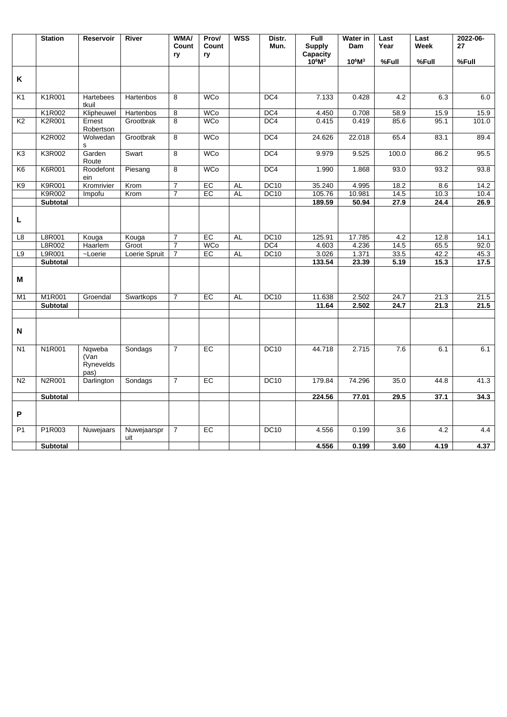|                | <b>Station</b>  | <b>Reservoir</b>                    | River              | <b>WMA/</b><br>Count<br>ry | Prov/<br>Count<br>ry | <b>WSS</b> | Distr.<br>Mun.  | Full<br><b>Supply</b><br>Capacity | Water in<br>Dam | Last<br>Year | Last<br><b>Week</b> | 2022-06-<br>27 |
|----------------|-----------------|-------------------------------------|--------------------|----------------------------|----------------------|------------|-----------------|-----------------------------------|-----------------|--------------|---------------------|----------------|
|                |                 |                                     |                    |                            |                      |            |                 | $10^6M^3$                         | $10^6M^3$       | %Full        | %Full               | %Full          |
| K              |                 |                                     |                    |                            |                      |            |                 |                                   |                 |              |                     |                |
| K1             | K1R001          | Hartebees<br>tkuil                  | Hartenbos          | 8                          | <b>WCo</b>           |            | DC <sub>4</sub> | 7.133                             | 0.428           | 4.2          | 6.3                 | 6.0            |
|                | K1R002          | Klipheuwel                          | Hartenbos          | 8                          | <b>WCo</b>           |            | DC4             | 4.450                             | 0.708           | 58.9         | 15.9                | 15.9           |
| K <sub>2</sub> | K2R001          | Ernest<br>Robertson                 | Grootbrak          | 8                          | <b>WCo</b>           |            | DC4             | 0.415                             | 0.419           | 85.6         | 95.1                | 101.0          |
|                | K2R002          | Wolwedan<br>s                       | Grootbrak          | 8                          | <b>WCo</b>           |            | DC4             | 24.626                            | 22.018          | 65.4         | 83.1                | 89.4           |
| K <sub>3</sub> | K3R002          | Garden<br>Route                     | Swart              | 8                          | <b>WCo</b>           |            | DC4             | 9.979                             | 9.525           | 100.0        | 86.2                | 95.5           |
| K <sub>6</sub> | K6R001          | Roodefont<br>ein                    | Piesang            | 8                          | <b>WCo</b>           |            | DC4             | 1.990                             | 1.868           | 93.0         | 93.2                | 93.8           |
| K9             | <b>K9R001</b>   | Kromrivier                          | Krom               | $\overline{7}$             | EC                   | AL         | <b>DC10</b>     | 35.240                            | 4.995           | 18.2         | 8.6                 | 14.2           |
|                | K9R002          | Impofu                              | Krom               | $\overline{7}$             | EC                   | <b>AL</b>  | <b>DC10</b>     | 105.76                            | 10.981          | 14.5         | 10.3                | 10.4           |
|                | <b>Subtotal</b> |                                     |                    |                            |                      |            |                 | 189.59                            | 50.94           | 27.9         | 24.4                | 26.9           |
| L              |                 |                                     |                    |                            |                      |            |                 |                                   |                 |              |                     |                |
| L8             | L8R001          | Kouga                               | Kouga              | $\overline{7}$             | EC                   | <b>AL</b>  | <b>DC10</b>     | 125.91                            | 17.785          | 4.2          | 12.8                | 14.1           |
|                | L8R002          | Haarlem                             | Groot              | $\overline{7}$             | <b>WCo</b>           |            | DC4             | 4.603                             | 4.236           | 14.5         | 65.5                | 92.0           |
| L9             | L9R001          | ~Loerie                             | Loerie Spruit      | $\overline{7}$             | EC                   | <b>AL</b>  | DC10            | 3.026                             | 1.371           | 33.5         | 42.2                | 45.3           |
|                | <b>Subtotal</b> |                                     |                    |                            |                      |            |                 | 133.54                            | 23.39           | 5.19         | 15.3                | 17.5           |
| М              |                 |                                     |                    |                            |                      |            |                 |                                   |                 |              |                     |                |
| M1             | M1R001          | Groendal                            | Swartkops          | $\overline{7}$             | EC                   | <b>AL</b>  | DC10            | 11.638                            | 2.502           | 24.7         | 21.3                | 21.5           |
|                | Subtotal        |                                     |                    |                            |                      |            |                 | 11.64                             | 2.502           | 24.7         | 21.3                | 21.5           |
| N              |                 |                                     |                    |                            |                      |            |                 |                                   |                 |              |                     |                |
| N <sub>1</sub> | N1R001          | Nqweba<br>(Van<br>Rynevelds<br>pas) | Sondags            | $\overline{7}$             | EC                   |            | <b>DC10</b>     | 44.718                            | 2.715           | 7.6          | 6.1                 | 6.1            |
| N <sub>2</sub> | <b>N2R001</b>   | Darlington                          | Sondags            | $\overline{7}$             | <b>EC</b>            |            | <b>DC10</b>     | 179.84                            | 74.296          | 35.0         | 44.8                | 41.3           |
|                | Subtotal        |                                     |                    |                            |                      |            |                 | 224.56                            | 77.01           | 29.5         | 37.1                | 34.3           |
| P              |                 |                                     |                    |                            |                      |            |                 |                                   |                 |              |                     |                |
| P <sub>1</sub> | P1R003          | Nuwejaars                           | Nuwejaarspr<br>uit | $\overline{7}$             | <b>EC</b>            |            | <b>DC10</b>     | 4.556                             | 0.199           | 3.6          | 4.2                 | 4.4            |
|                | <b>Subtotal</b> |                                     |                    |                            |                      |            |                 | 4.556                             | 0.199           | 3.60         | 4.19                | 4.37           |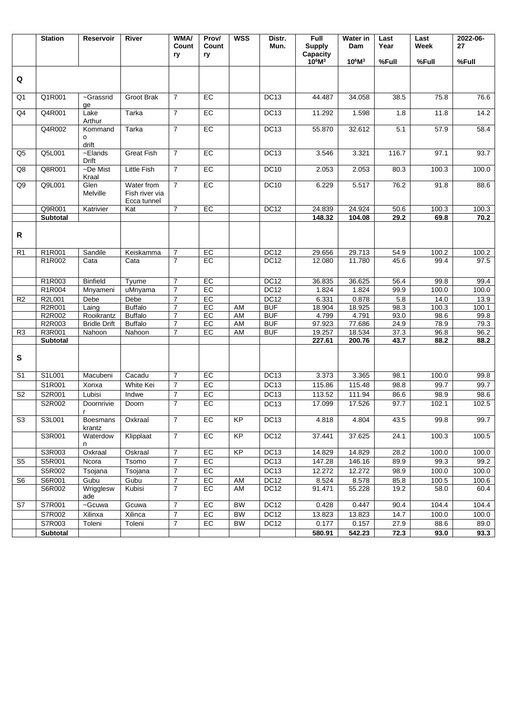| $10^6M^3$<br>$10^6M^3$<br>%Full<br>%Full<br>%Full<br>Q<br>Q <sub>1</sub><br>Q1R001<br>~Grassrid<br>Groot Brak<br>$\overline{7}$<br>EC<br><b>DC13</b><br>44.487<br>34.058<br>38.5<br>75.8<br>76.6<br>ge<br>$\overline{7}$<br>Q4R001<br>Lake<br>EC<br>DC <sub>13</sub><br>14.2<br>Q4<br>Tarka<br>11.292<br>1.598<br>11.8<br>1.8<br>Arthur<br>Q4R002<br>$E$ C<br>DC13<br>58.4<br>Tarka<br>$\overline{7}$<br>55.870<br>32.612<br>5.1<br>57.9<br>Kommand<br>o<br>drift<br>Q5L001<br>$\overline{-E$ lands<br><b>Great Fish</b><br>$\overline{7}$<br>EC<br><b>DC13</b><br>97.1<br>93.7<br>Q <sub>5</sub><br>3.546<br>3.321<br>116.7<br><b>Drift</b><br>Q8R001<br>~De Mist<br>Little Fish<br>$\overline{7}$<br>EC<br><b>DC10</b><br>Q8<br>2.053<br>2.053<br>100.3<br>100.0<br>80.3<br>Kraal<br>Q9L001<br>$\overline{7}$<br>EC<br><b>DC10</b><br>Q9<br>Glen<br>Water from<br>6.229<br>5.517<br>76.2<br>91.8<br>88.6<br>Melville<br>Fish river via<br>Ecca tunnel<br>Q9R001<br>$\overline{7}$<br>EC<br><b>DC12</b><br>24.839<br>24.924<br>100.3<br>Katrivier<br>Kat<br>50.6<br>100.3<br>148.32<br>104.08<br>29.2<br>69.8<br>70.2<br>Subtotal<br>R<br>R1R001<br>$\overline{7}$<br>EC<br><b>DC12</b><br>54.9<br>Sandile<br>Keiskamma<br>29.656<br>29.713<br>100.2<br>R <sub>1</sub><br>100.2<br>$\overline{7}$<br>$E$ C<br>R1R002<br>DC <sub>12</sub><br>97.5<br>Cata<br>12.080<br>11.780<br>45.6<br>99.4<br>Cata<br>R1R003<br><b>Binfield</b><br>$\overline{7}$<br>EC<br>DC12<br>36.625<br>Tyume<br>36.835<br>56.4<br>99.8<br>99.4<br>R1R004<br>$\overline{7}$<br>EC<br><b>DC12</b><br>1.824<br>uMnyama<br>1.824<br>99.9<br>100.0<br>100.0<br>Mnyameni<br>$\overline{7}$<br>EC<br>DC <sub>12</sub><br>R <sub>2</sub><br>R2L001<br>Debe<br>Debe<br>6.331<br>0.878<br>5.8<br>14.0<br>13.9<br>R2R001<br><b>Buffalo</b><br>$\overline{7}$<br>EC<br><b>BUF</b><br>18.925<br>100.3<br>100.1<br>Laing<br>AM<br>18.904<br>98.3<br>R2R002<br><b>BUF</b><br><b>Buffalo</b><br>$\overline{7}$<br>EC<br>AM<br>4.799<br>4.791<br>93.0<br>98.6<br>99.8<br>Rooikrantz<br>R2R003<br><b>BUF</b><br>77.686<br><b>Bridle Drift</b><br><b>Buffalo</b><br>$\overline{7}$<br>EC<br>AM<br>97.923<br>24.9<br>78.9<br>79.3<br>R3R001<br>EC<br>AM<br><b>BUF</b><br>19.257<br>18.534<br>96.2<br>Nahoon<br>Nahoon<br>$\overline{7}$<br>37.3<br>96.8<br>R <sub>3</sub><br>43.7<br>88.2<br>Subtotal<br>227.61<br>200.76<br>88.2<br>S<br>S1L001<br>$\overline{7}$<br>E<br>DC13<br>3.373<br>3.365<br>98.1<br>100.0<br>99.8<br>S <sub>1</sub><br>Macubeni<br>Cacadu<br>EC<br>S1R001<br>$\overline{7}$<br>DC <sub>13</sub><br>115.48<br>White Kei<br>115.86<br>98.8<br>99.7<br>99.7<br>Xonxa<br>$\overline{7}$<br>EC<br>DC13<br>S2R001<br>113.52<br>98.9<br>98.6<br>Lubisi<br>Indwe<br>111.94<br>86.6<br>S2<br>$\overline{7}$<br>EC<br>DC <sub>13</sub><br>S2R002<br>17.099<br>17.526<br>97.7<br>102.1<br>102.5<br>Doornrivie<br>Doorn<br>$\mathsf{r}$<br>$\overline{7}$<br>EC<br><b>KP</b><br>S3<br>S3L001<br><b>Boesmans</b><br>Oxkraal<br><b>DC13</b><br>4.818<br>4.804<br>43.5<br>99.8<br>99.7<br>krantz<br>$\overline{7}$<br><b>KP</b><br>S3R001<br>EC<br>DC <sub>12</sub><br>37.441<br>24.1<br>Waterdow<br>Klipplaat<br>37.625<br>100.3<br>100.5<br>n<br>$\overline{7}$<br><b>KP</b><br>S3R003<br>Oxkraal<br>Oskraal<br>EC<br>DC <sub>13</sub><br>14.829<br>14.829<br>28.2<br>100.0<br>100.0<br>S5R001<br>$\overline{7}$<br>EC<br>DC13<br>Tsomo<br>147.28<br>146.16<br>89.9<br>99.3<br>S5<br>Ncora<br>99.2<br>S5R002<br>$\overline{7}$<br>EC<br>DC13<br>12.272<br>12.272<br>98.9<br>100.0<br>100.0<br>Tsojana<br>Tsojana<br>S6R001<br>$\boldsymbol{7}$<br>EC<br>DC <sub>12</sub><br>Gubu<br>Gubu<br>AM<br>8.524<br>8.578<br>85.8<br>100.5<br>S <sub>6</sub><br>100.6<br>$\overline{7}$<br>S6R002<br>Wrigglesw<br>Kubisi<br>EC<br>AM<br>DC <sub>12</sub><br>91.471<br>55.228<br>19.2<br>58.0<br>60.4<br>ade<br>S7R001<br>$\overline{7}$<br>EC<br><b>BW</b><br>DC <sub>12</sub><br>104.4<br>S7<br>~Gcuwa<br>Gcuwa<br>0.428<br>0.447<br>90.4<br>104.4<br>EC<br>DC <sub>12</sub><br>S7R002<br>Xilinxa<br>Xilinca<br>$\overline{7}$<br>BW<br>13.823<br>13.823<br>14.7<br>100.0<br>100.0<br>DC <sub>12</sub><br>S7R003<br>Toleni<br>Toleni<br>$\overline{7}$<br>EC<br><b>BW</b><br>0.177<br>0.157<br>27.9<br>88.6<br>89.0<br>580.91<br>542.23<br>72.3<br>93.3<br>Subtotal<br>93.0 | <b>Station</b> | Reservoir | River | <b>WMA/</b><br>Count<br>ry | Prov/<br>Count<br>ry | <b>WSS</b> | Distr.<br>Mun. | Full<br><b>Supply</b><br>Capacity | Water in<br>Dam | Last<br>Year | Last<br>Week | 2022-06-<br>27 |
|--------------------------------------------------------------------------------------------------------------------------------------------------------------------------------------------------------------------------------------------------------------------------------------------------------------------------------------------------------------------------------------------------------------------------------------------------------------------------------------------------------------------------------------------------------------------------------------------------------------------------------------------------------------------------------------------------------------------------------------------------------------------------------------------------------------------------------------------------------------------------------------------------------------------------------------------------------------------------------------------------------------------------------------------------------------------------------------------------------------------------------------------------------------------------------------------------------------------------------------------------------------------------------------------------------------------------------------------------------------------------------------------------------------------------------------------------------------------------------------------------------------------------------------------------------------------------------------------------------------------------------------------------------------------------------------------------------------------------------------------------------------------------------------------------------------------------------------------------------------------------------------------------------------------------------------------------------------------------------------------------------------------------------------------------------------------------------------------------------------------------------------------------------------------------------------------------------------------------------------------------------------------------------------------------------------------------------------------------------------------------------------------------------------------------------------------------------------------------------------------------------------------------------------------------------------------------------------------------------------------------------------------------------------------------------------------------------------------------------------------------------------------------------------------------------------------------------------------------------------------------------------------------------------------------------------------------------------------------------------------------------------------------------------------------------------------------------------------------------------------------------------------------------------------------------------------------------------------------------------------------------------------------------------------------------------------------------------------------------------------------------------------------------------------------------------------------------------------------------------------------------------------------------------------------------------------------------------------------------------------------------------------------------------------------------------------------------------------------------------------------------------------------------------------------------------------------------------------------------------------------------------------------------------------------------------------------------------------------------------------------------------------------------------------------------------------------------------------------------------------------------------------------------------------------------------------------------------------------------------------------------------------------------------------------------------------------------------|----------------|-----------|-------|----------------------------|----------------------|------------|----------------|-----------------------------------|-----------------|--------------|--------------|----------------|
|                                                                                                                                                                                                                                                                                                                                                                                                                                                                                                                                                                                                                                                                                                                                                                                                                                                                                                                                                                                                                                                                                                                                                                                                                                                                                                                                                                                                                                                                                                                                                                                                                                                                                                                                                                                                                                                                                                                                                                                                                                                                                                                                                                                                                                                                                                                                                                                                                                                                                                                                                                                                                                                                                                                                                                                                                                                                                                                                                                                                                                                                                                                                                                                                                                                                                                                                                                                                                                                                                                                                                                                                                                                                                                                                                                                                                                                                                                                                                                                                                                                                                                                                                                                                                                                                                                                                      |                |           |       |                            |                      |            |                |                                   |                 |              |              |                |
|                                                                                                                                                                                                                                                                                                                                                                                                                                                                                                                                                                                                                                                                                                                                                                                                                                                                                                                                                                                                                                                                                                                                                                                                                                                                                                                                                                                                                                                                                                                                                                                                                                                                                                                                                                                                                                                                                                                                                                                                                                                                                                                                                                                                                                                                                                                                                                                                                                                                                                                                                                                                                                                                                                                                                                                                                                                                                                                                                                                                                                                                                                                                                                                                                                                                                                                                                                                                                                                                                                                                                                                                                                                                                                                                                                                                                                                                                                                                                                                                                                                                                                                                                                                                                                                                                                                                      |                |           |       |                            |                      |            |                |                                   |                 |              |              |                |
|                                                                                                                                                                                                                                                                                                                                                                                                                                                                                                                                                                                                                                                                                                                                                                                                                                                                                                                                                                                                                                                                                                                                                                                                                                                                                                                                                                                                                                                                                                                                                                                                                                                                                                                                                                                                                                                                                                                                                                                                                                                                                                                                                                                                                                                                                                                                                                                                                                                                                                                                                                                                                                                                                                                                                                                                                                                                                                                                                                                                                                                                                                                                                                                                                                                                                                                                                                                                                                                                                                                                                                                                                                                                                                                                                                                                                                                                                                                                                                                                                                                                                                                                                                                                                                                                                                                                      |                |           |       |                            |                      |            |                |                                   |                 |              |              |                |
|                                                                                                                                                                                                                                                                                                                                                                                                                                                                                                                                                                                                                                                                                                                                                                                                                                                                                                                                                                                                                                                                                                                                                                                                                                                                                                                                                                                                                                                                                                                                                                                                                                                                                                                                                                                                                                                                                                                                                                                                                                                                                                                                                                                                                                                                                                                                                                                                                                                                                                                                                                                                                                                                                                                                                                                                                                                                                                                                                                                                                                                                                                                                                                                                                                                                                                                                                                                                                                                                                                                                                                                                                                                                                                                                                                                                                                                                                                                                                                                                                                                                                                                                                                                                                                                                                                                                      |                |           |       |                            |                      |            |                |                                   |                 |              |              |                |
|                                                                                                                                                                                                                                                                                                                                                                                                                                                                                                                                                                                                                                                                                                                                                                                                                                                                                                                                                                                                                                                                                                                                                                                                                                                                                                                                                                                                                                                                                                                                                                                                                                                                                                                                                                                                                                                                                                                                                                                                                                                                                                                                                                                                                                                                                                                                                                                                                                                                                                                                                                                                                                                                                                                                                                                                                                                                                                                                                                                                                                                                                                                                                                                                                                                                                                                                                                                                                                                                                                                                                                                                                                                                                                                                                                                                                                                                                                                                                                                                                                                                                                                                                                                                                                                                                                                                      |                |           |       |                            |                      |            |                |                                   |                 |              |              |                |
|                                                                                                                                                                                                                                                                                                                                                                                                                                                                                                                                                                                                                                                                                                                                                                                                                                                                                                                                                                                                                                                                                                                                                                                                                                                                                                                                                                                                                                                                                                                                                                                                                                                                                                                                                                                                                                                                                                                                                                                                                                                                                                                                                                                                                                                                                                                                                                                                                                                                                                                                                                                                                                                                                                                                                                                                                                                                                                                                                                                                                                                                                                                                                                                                                                                                                                                                                                                                                                                                                                                                                                                                                                                                                                                                                                                                                                                                                                                                                                                                                                                                                                                                                                                                                                                                                                                                      |                |           |       |                            |                      |            |                |                                   |                 |              |              |                |
|                                                                                                                                                                                                                                                                                                                                                                                                                                                                                                                                                                                                                                                                                                                                                                                                                                                                                                                                                                                                                                                                                                                                                                                                                                                                                                                                                                                                                                                                                                                                                                                                                                                                                                                                                                                                                                                                                                                                                                                                                                                                                                                                                                                                                                                                                                                                                                                                                                                                                                                                                                                                                                                                                                                                                                                                                                                                                                                                                                                                                                                                                                                                                                                                                                                                                                                                                                                                                                                                                                                                                                                                                                                                                                                                                                                                                                                                                                                                                                                                                                                                                                                                                                                                                                                                                                                                      |                |           |       |                            |                      |            |                |                                   |                 |              |              |                |
|                                                                                                                                                                                                                                                                                                                                                                                                                                                                                                                                                                                                                                                                                                                                                                                                                                                                                                                                                                                                                                                                                                                                                                                                                                                                                                                                                                                                                                                                                                                                                                                                                                                                                                                                                                                                                                                                                                                                                                                                                                                                                                                                                                                                                                                                                                                                                                                                                                                                                                                                                                                                                                                                                                                                                                                                                                                                                                                                                                                                                                                                                                                                                                                                                                                                                                                                                                                                                                                                                                                                                                                                                                                                                                                                                                                                                                                                                                                                                                                                                                                                                                                                                                                                                                                                                                                                      |                |           |       |                            |                      |            |                |                                   |                 |              |              |                |
|                                                                                                                                                                                                                                                                                                                                                                                                                                                                                                                                                                                                                                                                                                                                                                                                                                                                                                                                                                                                                                                                                                                                                                                                                                                                                                                                                                                                                                                                                                                                                                                                                                                                                                                                                                                                                                                                                                                                                                                                                                                                                                                                                                                                                                                                                                                                                                                                                                                                                                                                                                                                                                                                                                                                                                                                                                                                                                                                                                                                                                                                                                                                                                                                                                                                                                                                                                                                                                                                                                                                                                                                                                                                                                                                                                                                                                                                                                                                                                                                                                                                                                                                                                                                                                                                                                                                      |                |           |       |                            |                      |            |                |                                   |                 |              |              |                |
|                                                                                                                                                                                                                                                                                                                                                                                                                                                                                                                                                                                                                                                                                                                                                                                                                                                                                                                                                                                                                                                                                                                                                                                                                                                                                                                                                                                                                                                                                                                                                                                                                                                                                                                                                                                                                                                                                                                                                                                                                                                                                                                                                                                                                                                                                                                                                                                                                                                                                                                                                                                                                                                                                                                                                                                                                                                                                                                                                                                                                                                                                                                                                                                                                                                                                                                                                                                                                                                                                                                                                                                                                                                                                                                                                                                                                                                                                                                                                                                                                                                                                                                                                                                                                                                                                                                                      |                |           |       |                            |                      |            |                |                                   |                 |              |              |                |
|                                                                                                                                                                                                                                                                                                                                                                                                                                                                                                                                                                                                                                                                                                                                                                                                                                                                                                                                                                                                                                                                                                                                                                                                                                                                                                                                                                                                                                                                                                                                                                                                                                                                                                                                                                                                                                                                                                                                                                                                                                                                                                                                                                                                                                                                                                                                                                                                                                                                                                                                                                                                                                                                                                                                                                                                                                                                                                                                                                                                                                                                                                                                                                                                                                                                                                                                                                                                                                                                                                                                                                                                                                                                                                                                                                                                                                                                                                                                                                                                                                                                                                                                                                                                                                                                                                                                      |                |           |       |                            |                      |            |                |                                   |                 |              |              |                |
|                                                                                                                                                                                                                                                                                                                                                                                                                                                                                                                                                                                                                                                                                                                                                                                                                                                                                                                                                                                                                                                                                                                                                                                                                                                                                                                                                                                                                                                                                                                                                                                                                                                                                                                                                                                                                                                                                                                                                                                                                                                                                                                                                                                                                                                                                                                                                                                                                                                                                                                                                                                                                                                                                                                                                                                                                                                                                                                                                                                                                                                                                                                                                                                                                                                                                                                                                                                                                                                                                                                                                                                                                                                                                                                                                                                                                                                                                                                                                                                                                                                                                                                                                                                                                                                                                                                                      |                |           |       |                            |                      |            |                |                                   |                 |              |              |                |
|                                                                                                                                                                                                                                                                                                                                                                                                                                                                                                                                                                                                                                                                                                                                                                                                                                                                                                                                                                                                                                                                                                                                                                                                                                                                                                                                                                                                                                                                                                                                                                                                                                                                                                                                                                                                                                                                                                                                                                                                                                                                                                                                                                                                                                                                                                                                                                                                                                                                                                                                                                                                                                                                                                                                                                                                                                                                                                                                                                                                                                                                                                                                                                                                                                                                                                                                                                                                                                                                                                                                                                                                                                                                                                                                                                                                                                                                                                                                                                                                                                                                                                                                                                                                                                                                                                                                      |                |           |       |                            |                      |            |                |                                   |                 |              |              |                |
|                                                                                                                                                                                                                                                                                                                                                                                                                                                                                                                                                                                                                                                                                                                                                                                                                                                                                                                                                                                                                                                                                                                                                                                                                                                                                                                                                                                                                                                                                                                                                                                                                                                                                                                                                                                                                                                                                                                                                                                                                                                                                                                                                                                                                                                                                                                                                                                                                                                                                                                                                                                                                                                                                                                                                                                                                                                                                                                                                                                                                                                                                                                                                                                                                                                                                                                                                                                                                                                                                                                                                                                                                                                                                                                                                                                                                                                                                                                                                                                                                                                                                                                                                                                                                                                                                                                                      |                |           |       |                            |                      |            |                |                                   |                 |              |              |                |
|                                                                                                                                                                                                                                                                                                                                                                                                                                                                                                                                                                                                                                                                                                                                                                                                                                                                                                                                                                                                                                                                                                                                                                                                                                                                                                                                                                                                                                                                                                                                                                                                                                                                                                                                                                                                                                                                                                                                                                                                                                                                                                                                                                                                                                                                                                                                                                                                                                                                                                                                                                                                                                                                                                                                                                                                                                                                                                                                                                                                                                                                                                                                                                                                                                                                                                                                                                                                                                                                                                                                                                                                                                                                                                                                                                                                                                                                                                                                                                                                                                                                                                                                                                                                                                                                                                                                      |                |           |       |                            |                      |            |                |                                   |                 |              |              |                |
|                                                                                                                                                                                                                                                                                                                                                                                                                                                                                                                                                                                                                                                                                                                                                                                                                                                                                                                                                                                                                                                                                                                                                                                                                                                                                                                                                                                                                                                                                                                                                                                                                                                                                                                                                                                                                                                                                                                                                                                                                                                                                                                                                                                                                                                                                                                                                                                                                                                                                                                                                                                                                                                                                                                                                                                                                                                                                                                                                                                                                                                                                                                                                                                                                                                                                                                                                                                                                                                                                                                                                                                                                                                                                                                                                                                                                                                                                                                                                                                                                                                                                                                                                                                                                                                                                                                                      |                |           |       |                            |                      |            |                |                                   |                 |              |              |                |
|                                                                                                                                                                                                                                                                                                                                                                                                                                                                                                                                                                                                                                                                                                                                                                                                                                                                                                                                                                                                                                                                                                                                                                                                                                                                                                                                                                                                                                                                                                                                                                                                                                                                                                                                                                                                                                                                                                                                                                                                                                                                                                                                                                                                                                                                                                                                                                                                                                                                                                                                                                                                                                                                                                                                                                                                                                                                                                                                                                                                                                                                                                                                                                                                                                                                                                                                                                                                                                                                                                                                                                                                                                                                                                                                                                                                                                                                                                                                                                                                                                                                                                                                                                                                                                                                                                                                      |                |           |       |                            |                      |            |                |                                   |                 |              |              |                |
|                                                                                                                                                                                                                                                                                                                                                                                                                                                                                                                                                                                                                                                                                                                                                                                                                                                                                                                                                                                                                                                                                                                                                                                                                                                                                                                                                                                                                                                                                                                                                                                                                                                                                                                                                                                                                                                                                                                                                                                                                                                                                                                                                                                                                                                                                                                                                                                                                                                                                                                                                                                                                                                                                                                                                                                                                                                                                                                                                                                                                                                                                                                                                                                                                                                                                                                                                                                                                                                                                                                                                                                                                                                                                                                                                                                                                                                                                                                                                                                                                                                                                                                                                                                                                                                                                                                                      |                |           |       |                            |                      |            |                |                                   |                 |              |              |                |
|                                                                                                                                                                                                                                                                                                                                                                                                                                                                                                                                                                                                                                                                                                                                                                                                                                                                                                                                                                                                                                                                                                                                                                                                                                                                                                                                                                                                                                                                                                                                                                                                                                                                                                                                                                                                                                                                                                                                                                                                                                                                                                                                                                                                                                                                                                                                                                                                                                                                                                                                                                                                                                                                                                                                                                                                                                                                                                                                                                                                                                                                                                                                                                                                                                                                                                                                                                                                                                                                                                                                                                                                                                                                                                                                                                                                                                                                                                                                                                                                                                                                                                                                                                                                                                                                                                                                      |                |           |       |                            |                      |            |                |                                   |                 |              |              |                |
|                                                                                                                                                                                                                                                                                                                                                                                                                                                                                                                                                                                                                                                                                                                                                                                                                                                                                                                                                                                                                                                                                                                                                                                                                                                                                                                                                                                                                                                                                                                                                                                                                                                                                                                                                                                                                                                                                                                                                                                                                                                                                                                                                                                                                                                                                                                                                                                                                                                                                                                                                                                                                                                                                                                                                                                                                                                                                                                                                                                                                                                                                                                                                                                                                                                                                                                                                                                                                                                                                                                                                                                                                                                                                                                                                                                                                                                                                                                                                                                                                                                                                                                                                                                                                                                                                                                                      |                |           |       |                            |                      |            |                |                                   |                 |              |              |                |
|                                                                                                                                                                                                                                                                                                                                                                                                                                                                                                                                                                                                                                                                                                                                                                                                                                                                                                                                                                                                                                                                                                                                                                                                                                                                                                                                                                                                                                                                                                                                                                                                                                                                                                                                                                                                                                                                                                                                                                                                                                                                                                                                                                                                                                                                                                                                                                                                                                                                                                                                                                                                                                                                                                                                                                                                                                                                                                                                                                                                                                                                                                                                                                                                                                                                                                                                                                                                                                                                                                                                                                                                                                                                                                                                                                                                                                                                                                                                                                                                                                                                                                                                                                                                                                                                                                                                      |                |           |       |                            |                      |            |                |                                   |                 |              |              |                |
|                                                                                                                                                                                                                                                                                                                                                                                                                                                                                                                                                                                                                                                                                                                                                                                                                                                                                                                                                                                                                                                                                                                                                                                                                                                                                                                                                                                                                                                                                                                                                                                                                                                                                                                                                                                                                                                                                                                                                                                                                                                                                                                                                                                                                                                                                                                                                                                                                                                                                                                                                                                                                                                                                                                                                                                                                                                                                                                                                                                                                                                                                                                                                                                                                                                                                                                                                                                                                                                                                                                                                                                                                                                                                                                                                                                                                                                                                                                                                                                                                                                                                                                                                                                                                                                                                                                                      |                |           |       |                            |                      |            |                |                                   |                 |              |              |                |
|                                                                                                                                                                                                                                                                                                                                                                                                                                                                                                                                                                                                                                                                                                                                                                                                                                                                                                                                                                                                                                                                                                                                                                                                                                                                                                                                                                                                                                                                                                                                                                                                                                                                                                                                                                                                                                                                                                                                                                                                                                                                                                                                                                                                                                                                                                                                                                                                                                                                                                                                                                                                                                                                                                                                                                                                                                                                                                                                                                                                                                                                                                                                                                                                                                                                                                                                                                                                                                                                                                                                                                                                                                                                                                                                                                                                                                                                                                                                                                                                                                                                                                                                                                                                                                                                                                                                      |                |           |       |                            |                      |            |                |                                   |                 |              |              |                |
|                                                                                                                                                                                                                                                                                                                                                                                                                                                                                                                                                                                                                                                                                                                                                                                                                                                                                                                                                                                                                                                                                                                                                                                                                                                                                                                                                                                                                                                                                                                                                                                                                                                                                                                                                                                                                                                                                                                                                                                                                                                                                                                                                                                                                                                                                                                                                                                                                                                                                                                                                                                                                                                                                                                                                                                                                                                                                                                                                                                                                                                                                                                                                                                                                                                                                                                                                                                                                                                                                                                                                                                                                                                                                                                                                                                                                                                                                                                                                                                                                                                                                                                                                                                                                                                                                                                                      |                |           |       |                            |                      |            |                |                                   |                 |              |              |                |
|                                                                                                                                                                                                                                                                                                                                                                                                                                                                                                                                                                                                                                                                                                                                                                                                                                                                                                                                                                                                                                                                                                                                                                                                                                                                                                                                                                                                                                                                                                                                                                                                                                                                                                                                                                                                                                                                                                                                                                                                                                                                                                                                                                                                                                                                                                                                                                                                                                                                                                                                                                                                                                                                                                                                                                                                                                                                                                                                                                                                                                                                                                                                                                                                                                                                                                                                                                                                                                                                                                                                                                                                                                                                                                                                                                                                                                                                                                                                                                                                                                                                                                                                                                                                                                                                                                                                      |                |           |       |                            |                      |            |                |                                   |                 |              |              |                |
|                                                                                                                                                                                                                                                                                                                                                                                                                                                                                                                                                                                                                                                                                                                                                                                                                                                                                                                                                                                                                                                                                                                                                                                                                                                                                                                                                                                                                                                                                                                                                                                                                                                                                                                                                                                                                                                                                                                                                                                                                                                                                                                                                                                                                                                                                                                                                                                                                                                                                                                                                                                                                                                                                                                                                                                                                                                                                                                                                                                                                                                                                                                                                                                                                                                                                                                                                                                                                                                                                                                                                                                                                                                                                                                                                                                                                                                                                                                                                                                                                                                                                                                                                                                                                                                                                                                                      |                |           |       |                            |                      |            |                |                                   |                 |              |              |                |
|                                                                                                                                                                                                                                                                                                                                                                                                                                                                                                                                                                                                                                                                                                                                                                                                                                                                                                                                                                                                                                                                                                                                                                                                                                                                                                                                                                                                                                                                                                                                                                                                                                                                                                                                                                                                                                                                                                                                                                                                                                                                                                                                                                                                                                                                                                                                                                                                                                                                                                                                                                                                                                                                                                                                                                                                                                                                                                                                                                                                                                                                                                                                                                                                                                                                                                                                                                                                                                                                                                                                                                                                                                                                                                                                                                                                                                                                                                                                                                                                                                                                                                                                                                                                                                                                                                                                      |                |           |       |                            |                      |            |                |                                   |                 |              |              |                |
|                                                                                                                                                                                                                                                                                                                                                                                                                                                                                                                                                                                                                                                                                                                                                                                                                                                                                                                                                                                                                                                                                                                                                                                                                                                                                                                                                                                                                                                                                                                                                                                                                                                                                                                                                                                                                                                                                                                                                                                                                                                                                                                                                                                                                                                                                                                                                                                                                                                                                                                                                                                                                                                                                                                                                                                                                                                                                                                                                                                                                                                                                                                                                                                                                                                                                                                                                                                                                                                                                                                                                                                                                                                                                                                                                                                                                                                                                                                                                                                                                                                                                                                                                                                                                                                                                                                                      |                |           |       |                            |                      |            |                |                                   |                 |              |              |                |
|                                                                                                                                                                                                                                                                                                                                                                                                                                                                                                                                                                                                                                                                                                                                                                                                                                                                                                                                                                                                                                                                                                                                                                                                                                                                                                                                                                                                                                                                                                                                                                                                                                                                                                                                                                                                                                                                                                                                                                                                                                                                                                                                                                                                                                                                                                                                                                                                                                                                                                                                                                                                                                                                                                                                                                                                                                                                                                                                                                                                                                                                                                                                                                                                                                                                                                                                                                                                                                                                                                                                                                                                                                                                                                                                                                                                                                                                                                                                                                                                                                                                                                                                                                                                                                                                                                                                      |                |           |       |                            |                      |            |                |                                   |                 |              |              |                |
|                                                                                                                                                                                                                                                                                                                                                                                                                                                                                                                                                                                                                                                                                                                                                                                                                                                                                                                                                                                                                                                                                                                                                                                                                                                                                                                                                                                                                                                                                                                                                                                                                                                                                                                                                                                                                                                                                                                                                                                                                                                                                                                                                                                                                                                                                                                                                                                                                                                                                                                                                                                                                                                                                                                                                                                                                                                                                                                                                                                                                                                                                                                                                                                                                                                                                                                                                                                                                                                                                                                                                                                                                                                                                                                                                                                                                                                                                                                                                                                                                                                                                                                                                                                                                                                                                                                                      |                |           |       |                            |                      |            |                |                                   |                 |              |              |                |
|                                                                                                                                                                                                                                                                                                                                                                                                                                                                                                                                                                                                                                                                                                                                                                                                                                                                                                                                                                                                                                                                                                                                                                                                                                                                                                                                                                                                                                                                                                                                                                                                                                                                                                                                                                                                                                                                                                                                                                                                                                                                                                                                                                                                                                                                                                                                                                                                                                                                                                                                                                                                                                                                                                                                                                                                                                                                                                                                                                                                                                                                                                                                                                                                                                                                                                                                                                                                                                                                                                                                                                                                                                                                                                                                                                                                                                                                                                                                                                                                                                                                                                                                                                                                                                                                                                                                      |                |           |       |                            |                      |            |                |                                   |                 |              |              |                |
|                                                                                                                                                                                                                                                                                                                                                                                                                                                                                                                                                                                                                                                                                                                                                                                                                                                                                                                                                                                                                                                                                                                                                                                                                                                                                                                                                                                                                                                                                                                                                                                                                                                                                                                                                                                                                                                                                                                                                                                                                                                                                                                                                                                                                                                                                                                                                                                                                                                                                                                                                                                                                                                                                                                                                                                                                                                                                                                                                                                                                                                                                                                                                                                                                                                                                                                                                                                                                                                                                                                                                                                                                                                                                                                                                                                                                                                                                                                                                                                                                                                                                                                                                                                                                                                                                                                                      |                |           |       |                            |                      |            |                |                                   |                 |              |              |                |
|                                                                                                                                                                                                                                                                                                                                                                                                                                                                                                                                                                                                                                                                                                                                                                                                                                                                                                                                                                                                                                                                                                                                                                                                                                                                                                                                                                                                                                                                                                                                                                                                                                                                                                                                                                                                                                                                                                                                                                                                                                                                                                                                                                                                                                                                                                                                                                                                                                                                                                                                                                                                                                                                                                                                                                                                                                                                                                                                                                                                                                                                                                                                                                                                                                                                                                                                                                                                                                                                                                                                                                                                                                                                                                                                                                                                                                                                                                                                                                                                                                                                                                                                                                                                                                                                                                                                      |                |           |       |                            |                      |            |                |                                   |                 |              |              |                |
|                                                                                                                                                                                                                                                                                                                                                                                                                                                                                                                                                                                                                                                                                                                                                                                                                                                                                                                                                                                                                                                                                                                                                                                                                                                                                                                                                                                                                                                                                                                                                                                                                                                                                                                                                                                                                                                                                                                                                                                                                                                                                                                                                                                                                                                                                                                                                                                                                                                                                                                                                                                                                                                                                                                                                                                                                                                                                                                                                                                                                                                                                                                                                                                                                                                                                                                                                                                                                                                                                                                                                                                                                                                                                                                                                                                                                                                                                                                                                                                                                                                                                                                                                                                                                                                                                                                                      |                |           |       |                            |                      |            |                |                                   |                 |              |              |                |
|                                                                                                                                                                                                                                                                                                                                                                                                                                                                                                                                                                                                                                                                                                                                                                                                                                                                                                                                                                                                                                                                                                                                                                                                                                                                                                                                                                                                                                                                                                                                                                                                                                                                                                                                                                                                                                                                                                                                                                                                                                                                                                                                                                                                                                                                                                                                                                                                                                                                                                                                                                                                                                                                                                                                                                                                                                                                                                                                                                                                                                                                                                                                                                                                                                                                                                                                                                                                                                                                                                                                                                                                                                                                                                                                                                                                                                                                                                                                                                                                                                                                                                                                                                                                                                                                                                                                      |                |           |       |                            |                      |            |                |                                   |                 |              |              |                |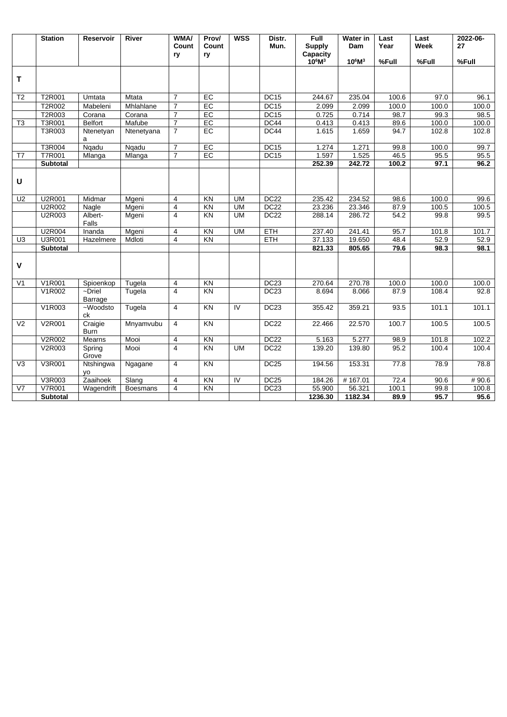|                   | <b>Station</b>  | <b>Reservoir</b>        | River        | <b>WMA/</b><br>Count<br>ry | Prov/<br>Count<br>ry | <b>WSS</b>     | Distr.<br>Mun.   | Full<br><b>Supply</b><br>Capacity<br>$10^6M^3$ | Water in<br>Dam<br>$10^6M^3$ | Last<br>Year<br>%Full | Last<br>Week<br>%Full | 2022-06-<br>27<br>%Full |
|-------------------|-----------------|-------------------------|--------------|----------------------------|----------------------|----------------|------------------|------------------------------------------------|------------------------------|-----------------------|-----------------------|-------------------------|
|                   |                 |                         |              |                            |                      |                |                  |                                                |                              |                       |                       |                         |
| т                 |                 |                         |              |                            |                      |                |                  |                                                |                              |                       |                       |                         |
| T <sub>2</sub>    | T2R001          | Umtata                  | <b>Mtata</b> | $\overline{7}$             | EC                   |                | DC15             | 244.67                                         | 235.04                       | 100.6                 | 97.0                  | 96.1                    |
|                   | T2R002          | Mabeleni                | Mhlahlane    | $\overline{7}$             | EC                   |                | <b>DC15</b>      | 2.099                                          | 2.099                        | 100.0                 | 100.0                 | 100.0                   |
|                   | T2R003          | Corana                  | Corana       | $\overline{7}$             | EC                   |                | DC15             | 0.725                                          | 0.714                        | 98.7                  | 99.3                  | 98.5                    |
| T <sub>3</sub>    | T3R001          | <b>Belfort</b>          | Mafube       | $\overline{7}$             | EC                   |                | DC44             | 0.413                                          | 0.413                        | 89.6                  | 100.0                 | 100.0                   |
|                   | T3R003          | Ntenetyan<br>a          | Ntenetyana   | $\overline{7}$             | EC                   |                | DC44             | 1.615                                          | 1.659                        | 94.7                  | 102.8                 | 102.8                   |
|                   | T3R004          | Nqadu                   | Nqadu        | $\overline{7}$             | $E$ C                |                | <b>DC15</b>      | 1.274                                          | 1.271                        | 99.8                  | 100.0                 | 99.7                    |
| T7                | <b>T7R001</b>   | Mlanga                  | Mlanga       | $\overline{7}$             | EC                   |                | DC15             | 1.597                                          | 1.525                        | 46.5                  | 95.5                  | 95.5                    |
|                   | <b>Subtotal</b> |                         |              |                            |                      |                |                  | 252.39                                         | 242.72                       | 100.2                 | 97.1                  | 96.2                    |
| $\cup$            |                 |                         |              |                            |                      |                |                  |                                                |                              |                       |                       |                         |
| U <sub>2</sub>    | U2R001          | Midmar                  | Mgeni        | $\overline{4}$             | KN                   | <b>UM</b>      | DC <sub>22</sub> | 235.42                                         | 234.52                       | 98.6                  | 100.0                 | 99.6                    |
|                   | U2R002          | Nagle                   | Mgeni        | $\overline{\mathbf{4}}$    | $\overline{KN}$      | <b>UM</b>      | DC <sub>22</sub> | 23.236                                         | 23.346                       | 87.9                  | 100.5                 | 100.5                   |
|                   | U2R003          | Albert-<br>Falls        | Mgeni        | $\overline{4}$             | <b>KN</b>            | <b>UM</b>      | <b>DC22</b>      | 288.14                                         | 286.72                       | 54.2                  | 99.8                  | 99.5                    |
|                   | U2R004          | Inanda                  | Mgeni        | 4                          | KN                   | <b>UM</b>      | <b>ETH</b>       | 237.40                                         | 241.41                       | 95.7                  | 101.8                 | 101.7                   |
| U <sub>3</sub>    | U3R001          | Hazelmere               | Mdloti       | $\overline{4}$             | KN                   |                | <b>ETH</b>       | 37.133                                         | 19.650                       | 48.4                  | 52.9                  | 52.9                    |
|                   | <b>Subtotal</b> |                         |              |                            |                      |                |                  | 821.33                                         | 805.65                       | 79.6                  | 98.3                  | 98.1                    |
| V                 |                 |                         |              |                            |                      |                |                  |                                                |                              |                       |                       |                         |
| V <sub>1</sub>    | V1R001          | Spioenkop               | Tugela       | $\overline{4}$             | KN                   |                | DC23             | 270.64                                         | 270.78                       | 100.0                 | 100.0                 | 100.0                   |
|                   | V1R002          | $\neg$ Driel<br>Barrage | Tugela       | $\overline{4}$             | KN                   |                | DC <sub>23</sub> | 8.694                                          | 8.066                        | 87.9                  | 108.4                 | 92.8                    |
|                   | V1R003          | $-Woodsto$<br>ck        | Tugela       | $\overline{4}$             | $\overline{KN}$      | $\overline{N}$ | DC23             | 355.42                                         | 359.21                       | 93.5                  | 101.1                 | 101.1                   |
| V <sub>2</sub>    | V2R001          | Craigie<br><b>Burn</b>  | Mnyamvubu    | $\overline{4}$             | $\overline{KN}$      |                | DC <sub>22</sub> | 22.466                                         | 22.570                       | 100.7                 | 100.5                 | 100.5                   |
|                   | V2R002          | Mearns                  | Mooi         | $\overline{4}$             | $\overline{KN}$      |                | DC <sub>22</sub> | 5.163                                          | 5.277                        | 98.9                  | 101.8                 | 102.2                   |
|                   | V2R003          | Spring<br>Grove         | Mooi         | 4                          | KN                   | <b>UM</b>      | DC <sub>22</sub> | 139.20                                         | 139.80                       | 95.2                  | 100.4                 | 100.4                   |
| $\overline{\vee}$ | V3R001          | Ntshingwa<br>VO         | Ngagane      | $\overline{4}$             | $\overline{KN}$      |                | DC <sub>25</sub> | 194.56                                         | 153.31                       | 77.8                  | 78.9                  | 78.8                    |
|                   | V3R003          | Zaaihoek                | Slang        | 4                          | KN                   | $\overline{N}$ | DC <sub>25</sub> | 184.26                                         | #167.01                      | 72.4                  | 90.6                  | #90.6                   |
| V <sub>7</sub>    | V7R001          | Wagendrift              | Boesmans     | $\overline{4}$             | KN                   |                | DC23             | 55.900                                         | 56.321                       | 100.1                 | 99.8                  | 100.8                   |
|                   | <b>Subtotal</b> |                         |              |                            |                      |                |                  | 1236.30                                        | 1182.34                      | 89.9                  | 95.7                  | 95.6                    |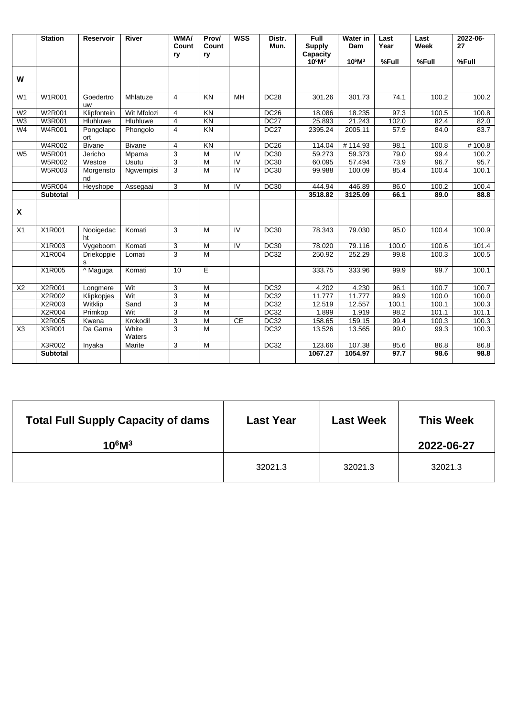|                | <b>Station</b>  | <b>Reservoir</b> | <b>River</b>    | WMA/<br>Count  | Prov/<br>Count | <b>WSS</b>     | Distr.<br>Mun.   | <b>Full</b><br><b>Supply</b> | <b>Water in</b><br>Dam | Last<br>Year | Last<br>Week | 2022-06-<br>27 |
|----------------|-----------------|------------------|-----------------|----------------|----------------|----------------|------------------|------------------------------|------------------------|--------------|--------------|----------------|
|                |                 |                  |                 | ry             | ry             |                |                  | Capacity<br>$10^6M^3$        | $10^6M^3$              | %Full        | %Full        | %Full          |
| W              |                 |                  |                 |                |                |                |                  |                              |                        |              |              |                |
| W <sub>1</sub> | W1R001          | Goedertro<br>uw  | Mhlatuze        | $\overline{4}$ | KN             | MH             | <b>DC28</b>      | 301.26                       | 301.73                 | 74.1         | 100.2        | 100.2          |
| W <sub>2</sub> | <b>W2R001</b>   | Klipfontein      | Wit Mfolozi     | $\overline{4}$ | KN             |                | <b>DC26</b>      | 18.086                       | 18.235                 | 97.3         | 100.5        | 100.8          |
| W <sub>3</sub> | <b>W3R001</b>   | Hluhluwe         | Hluhluwe        | $\overline{4}$ | KN             |                | DC <sub>27</sub> | 25.893                       | 21.243                 | 102.0        | 82.4         | 82.0           |
| W4             | W4R001          | Pongolapo<br>ort | Phongolo        | $\overline{4}$ | KN             |                | <b>DC27</b>      | 2395.24                      | 2005.11                | 57.9         | 84.0         | 83.7           |
|                | W4R002          | <b>Bivane</b>    | <b>Bivane</b>   | $\overline{4}$ | KN             |                | <b>DC26</b>      | 114.04                       | #114.93                | 98.1         | 100.8        | #100.8         |
| W <sub>5</sub> | <b>W5R001</b>   | Jericho          | Mpama           | $\sqrt{3}$     | M              | IV             | <b>DC30</b>      | 59.273                       | 59.373                 | 79.0         | 99.4         | 100.2          |
|                | <b>W5R002</b>   | Westoe           | Usutu           | 3              | M              | IV             | <b>DC30</b>      | 60.095                       | 57.494                 | 73.9         | 96.7         | 95.7           |
|                | W5R003          | Morgensto<br>nd  | Ngwempisi       | 3              | M              | $\overline{N}$ | <b>DC30</b>      | 99.988                       | 100.09                 | 85.4         | 100.4        | 100.1          |
|                | <b>W5R004</b>   | Heyshope         | Assegaai        | 3              | M              | IV             | <b>DC30</b>      | 444.94                       | 446.89                 | 86.0         | 100.2        | 100.4          |
|                | <b>Subtotal</b> |                  |                 |                |                |                |                  | 3518.82                      | 3125.09                | 66.1         | 89.0         | 88.8           |
| X              |                 |                  |                 |                |                |                |                  |                              |                        |              |              |                |
| X1             | X1R001          | Nooigedac<br>ht  | Komati          | 3              | M              | IV             | <b>DC30</b>      | 78.343                       | 79.030                 | 95.0         | 100.4        | 100.9          |
|                | X1R003          | Vygeboom         | Komati          | 3              | M              | $\overline{N}$ | <b>DC30</b>      | 78.020                       | 79.116                 | 100.0        | 100.6        | 101.4          |
|                | X1R004          | Driekoppie<br>s  | Lomati          | $\sqrt{3}$     | M              |                | <b>DC32</b>      | 250.92                       | 252.29                 | 99.8         | 100.3        | 100.5          |
|                | X1R005          | ^ Maguga         | Komati          | 10             | E.             |                |                  | 333.75                       | 333.96                 | 99.9         | 99.7         | 100.1          |
| X <sub>2</sub> | X2R001          | Longmere         | Wit             | 3              | M              |                | <b>DC32</b>      | 4.202                        | 4.230                  | 96.1         | 100.7        | 100.7          |
|                | X2R002          | Klipkopjes       | Wit             | 3              | $\overline{M}$ |                | <b>DC32</b>      | 11.777                       | 11.777                 | 99.9         | 100.0        | 100.0          |
|                | X2R003          | Witklip          | Sand            | 3              | M              |                | <b>DC32</b>      | 12.519                       | 12.557                 | 100.1        | 100.1        | 100.3          |
|                | X2R004          | Primkop          | Wit             | $\overline{3}$ | $\overline{M}$ |                | <b>DC32</b>      | 1.899                        | 1.919                  | 98.2         | 101.1        | 101.1          |
|                | X2R005          | Kwena            | Krokodil        | 3              | $\overline{M}$ | CE             | <b>DC32</b>      | 158.65                       | 159.15                 | 99.4         | 100.3        | 100.3          |
| X3             | X3R001          | Da Gama          | White<br>Waters | 3              | $\overline{M}$ |                | DC32             | 13.526                       | 13.565                 | 99.0         | 99.3         | 100.3          |
|                | X3R002          | Inyaka           | Marite          | 3              | $\overline{M}$ |                | <b>DC32</b>      | 123.66                       | 107.38                 | 85.6         | 86.8         | 86.8           |
|                | <b>Subtotal</b> |                  |                 |                |                |                |                  | 1067.27                      | 1054.97                | 97.7         | 98.6         | 98.8           |

| <b>Total Full Supply Capacity of dams</b><br>$10^6M^3$ | <b>Last Year</b> | <b>Last Week</b> | <b>This Week</b><br>2022-06-27 |
|--------------------------------------------------------|------------------|------------------|--------------------------------|
|                                                        | 32021.3          | 32021.3          | 32021.3                        |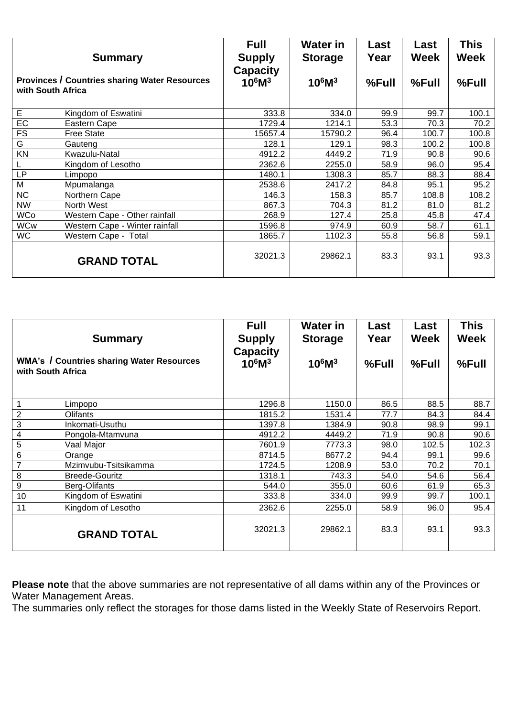|                   | <b>Summary</b>                                       | <b>Full</b><br><b>Supply</b><br><b>Capacity</b> | <b>Water in</b><br><b>Storage</b> | Last<br>Year | Last<br><b>Week</b> | This<br><b>Week</b> |
|-------------------|------------------------------------------------------|-------------------------------------------------|-----------------------------------|--------------|---------------------|---------------------|
| with South Africa | <b>Provinces / Countries sharing Water Resources</b> | $10^6M^3$                                       | $10^6M^3$                         | %Full        | %Full               | $%$ Full            |
| E                 | Kingdom of Eswatini                                  | 333.8                                           | 334.0                             | 99.9         | 99.7                | 100.1               |
| EC                | Eastern Cape                                         | 1729.4                                          | 1214.1                            | 53.3         | 70.3                | 70.2                |
| <b>FS</b>         | <b>Free State</b>                                    | 15657.4                                         | 15790.2                           | 96.4         | 100.7               | 100.8               |
| G                 | Gauteng                                              | 128.1                                           | 129.1                             | 98.3         | 100.2               | 100.8               |
| KN                | Kwazulu-Natal                                        | 4912.2                                          | 4449.2                            | 71.9         | 90.8                | 90.6                |
| L                 | Kingdom of Lesotho                                   | 2362.6                                          | 2255.0                            | 58.9         | 96.0                | 95.4                |
| LP                | Limpopo                                              | 1480.1                                          | 1308.3                            | 85.7         | 88.3                | 88.4                |
| M                 | Mpumalanga                                           | 2538.6                                          | 2417.2                            | 84.8         | 95.1                | 95.2                |
| <b>NC</b>         | Northern Cape                                        | 146.3                                           | 158.3                             | 85.7         | 108.8               | 108.2               |
| <b>NW</b>         | North West                                           | 867.3                                           | 704.3                             | 81.2         | 81.0                | 81.2                |
| <b>WCo</b>        | Western Cape - Other rainfall                        | 268.9                                           | 127.4                             | 25.8         | 45.8                | 47.4                |
| <b>WCw</b>        | Western Cape - Winter rainfall                       | 1596.8                                          | 974.9                             | 60.9         | 58.7                | 61.1                |
| <b>WC</b>         | Western Cape - Total                                 | 1865.7                                          | 1102.3                            | 55.8         | 56.8                | 59.1                |
|                   | <b>GRAND TOTAL</b>                                   | 32021.3                                         | 29862.1                           | 83.3         | 93.1                | 93.3                |

|                  | <b>Summary</b><br><b>WMA's / Countries sharing Water Resources</b><br>with South Africa | <b>Full</b><br><b>Supply</b><br><b>Capacity</b><br>$10^6M^3$ | <b>Water in</b><br><b>Storage</b><br>$10^6M^3$ | Last<br>Year<br>%Full | Last<br><b>Week</b><br>%Full | <b>This</b><br><b>Week</b><br>$%$ Full |
|------------------|-----------------------------------------------------------------------------------------|--------------------------------------------------------------|------------------------------------------------|-----------------------|------------------------------|----------------------------------------|
|                  |                                                                                         | 1296.8                                                       | 1150.0                                         | 86.5                  | 88.5                         | 88.7                                   |
| $\overline{2}$   | Limpopo<br>Olifants                                                                     | 1815.2                                                       | 1531.4                                         | 77.7                  | 84.3                         | 84.4                                   |
| $\sqrt{3}$       | Inkomati-Usuthu                                                                         | 1397.8                                                       | 1384.9                                         | 90.8                  | 98.9                         | 99.1                                   |
| 4                | Pongola-Mtamvuna                                                                        | 4912.2                                                       | 4449.2                                         | 71.9                  | 90.8                         | 90.6                                   |
| $\mathbf 5$      | Vaal Major                                                                              | 7601.9                                                       | 7773.3                                         | 98.0                  | 102.5                        | 102.3                                  |
| $\overline{6}$   | Orange                                                                                  | 8714.5                                                       | 8677.2                                         | 94.4                  | 99.1                         | 99.6                                   |
| $\overline{7}$   | Mzimvubu-Tsitsikamma                                                                    | 1724.5                                                       | 1208.9                                         | 53.0                  | 70.2                         | 70.1                                   |
| 8                | <b>Breede-Gouritz</b>                                                                   | 1318.1                                                       | 743.3                                          | 54.0                  | 54.6                         | 56.4                                   |
| $\boldsymbol{9}$ | Berg-Olifants                                                                           | 544.0                                                        | 355.0                                          | 60.6                  | 61.9                         | 65.3                                   |
| 10               | Kingdom of Eswatini                                                                     | 333.8                                                        | 334.0                                          | 99.9                  | 99.7                         | 100.1                                  |
| 11               | Kingdom of Lesotho                                                                      | 2362.6                                                       | 2255.0                                         | 58.9                  | 96.0                         | 95.4                                   |
|                  | <b>GRAND TOTAL</b>                                                                      | 32021.3                                                      | 29862.1                                        | 83.3                  | 93.1                         | 93.3                                   |

**Please note** that the above summaries are not representative of all dams within any of the Provinces or Water Management Areas.

The summaries only reflect the storages for those dams listed in the Weekly State of Reservoirs Report.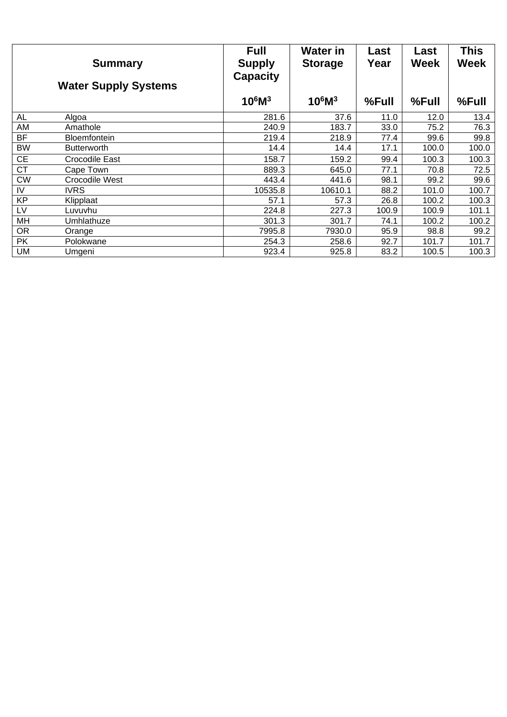|           | <b>Summary</b><br><b>Water Supply Systems</b> | <b>Full</b><br><b>Supply</b><br><b>Capacity</b> | <b>Water in</b><br><b>Storage</b> | Last<br>Year | Last<br><b>Week</b> | <b>This</b><br><b>Week</b> |
|-----------|-----------------------------------------------|-------------------------------------------------|-----------------------------------|--------------|---------------------|----------------------------|
|           |                                               | $10^6M^3$                                       | $10^6M^3$                         | %Full        | %Full               | %Full                      |
| AL        | Algoa                                         | 281.6                                           | 37.6                              | 11.0         | 12.0                | 13.4                       |
| AM        | Amathole                                      | 240.9                                           | 183.7                             | 33.0         | 75.2                | 76.3                       |
| <b>BF</b> | <b>Bloemfontein</b>                           | 219.4                                           | 218.9                             | 77.4         | 99.6                | 99.8                       |
| <b>BW</b> | <b>Butterworth</b>                            | 14.4                                            | 14.4                              | 17.1         | 100.0               | 100.0                      |
| <b>CE</b> | Crocodile East                                | 158.7                                           | 159.2                             | 99.4         | 100.3               | 100.3                      |
| <b>CT</b> | Cape Town                                     | 889.3                                           | 645.0                             | 77.1         | 70.8                | 72.5                       |
| <b>CW</b> | Crocodile West                                | 443.4                                           | 441.6                             | 98.1         | 99.2                | 99.6                       |
| IV        | <b>IVRS</b>                                   | 10535.8                                         | 10610.1                           | 88.2         | 101.0               | 100.7                      |
| KP        | Klipplaat                                     | 57.1                                            | 57.3                              | 26.8         | 100.2               | 100.3                      |
| LV        | Luvuvhu                                       | 224.8                                           | 227.3                             | 100.9        | 100.9               | 101.1                      |
| MH        | Umhlathuze                                    | 301.3                                           | 301.7                             | 74.1         | 100.2               | 100.2                      |
| <b>OR</b> | Orange                                        | 7995.8                                          | 7930.0                            | 95.9         | 98.8                | 99.2                       |
| <b>PK</b> | Polokwane                                     | 254.3                                           | 258.6                             | 92.7         | 101.7               | 101.7                      |
| <b>UM</b> | Umgeni                                        | 923.4                                           | 925.8                             | 83.2         | 100.5               | 100.3                      |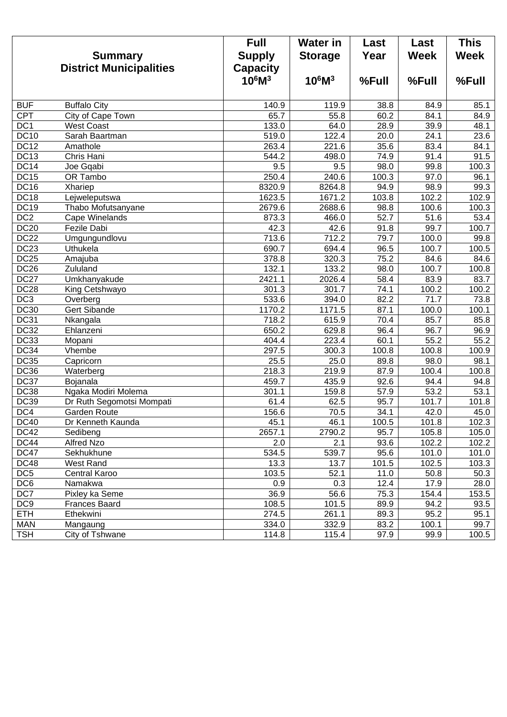|                  | <b>Summary</b><br><b>District Municipalities</b> | <b>Full</b><br><b>Supply</b><br><b>Capacity</b> | <b>Water in</b><br><b>Storage</b> | Last<br>Year | Last<br><b>Week</b> | <b>This</b><br><b>Week</b> |
|------------------|--------------------------------------------------|-------------------------------------------------|-----------------------------------|--------------|---------------------|----------------------------|
|                  |                                                  | $10^6M^3$                                       | $10^6M^3$                         | %Full        | %Full               | %Full                      |
| <b>BUF</b>       | <b>Buffalo City</b>                              | 140.9                                           | 119.9                             | 38.8         | 84.9                | 85.1                       |
| <b>CPT</b>       | <b>City of Cape Town</b>                         | 65.7                                            | 55.8                              | 60.2         | 84.1                | 84.9                       |
| DC <sub>1</sub>  | <b>West Coast</b>                                | 133.0                                           | 64.0                              | 28.9         | 39.9                | 48.1                       |
| <b>DC10</b>      | Sarah Baartman                                   | 519.0                                           | 122.4                             | 20.0         | 24.1                | 23.6                       |
| DC12             | Amathole                                         | 263.4                                           | 221.6                             | 35.6         | 83.4                | 84.1                       |
| DC13             | Chris Hani                                       | 544.2                                           | 498.0                             | 74.9         | 91.4                | 91.5                       |
| DC14             | Joe Gqabi                                        | 9.5                                             | 9.5                               | 98.0         | 99.8                | 100.3                      |
| DC15             | <b>OR Tambo</b>                                  | 250.4                                           | 240.6                             | 100.3        | 97.0                | 96.1                       |
| <b>DC16</b>      | Xhariep                                          | 8320.9                                          | 8264.8                            | 94.9         | 98.9                | 99.3                       |
| DC <sub>18</sub> | Lejweleputswa                                    | 1623.5                                          | 1671.2                            | 103.8        | 102.2               | 102.9                      |
| <b>DC19</b>      | Thabo Mofutsanyane                               | 2679.6                                          | 2688.6                            | 98.8         | 100.6               | 100.3                      |
| DC2              | Cape Winelands                                   | 873.3                                           | 466.0                             | 52.7         | 51.6                | $\overline{53.4}$          |
| DC20             | Fezile Dabi                                      | 42.3                                            | 42.6                              | 91.8         | 99.7                | 100.7                      |
| DC <sub>22</sub> | Umgungundlovu                                    | 713.6                                           | 712.2                             | 79.7         | 100.0               | 99.8                       |
| DC23             | Uthukela                                         | 690.7                                           | 694.4                             | 96.5         | 100.7               | 100.5                      |
| DC25             | Amajuba                                          | 378.8                                           | 320.3                             | 75.2         | 84.6                | 84.6                       |
| DC26             | Zululand                                         | 132.1                                           | 133.2                             | 98.0         | 100.7               | 100.8                      |
| DC <sub>27</sub> | Umkhanyakude                                     | 2421.1                                          | 2026.4                            | 58.4         | 83.9                | 83.7                       |
| DC28             | King Cetshwayo                                   | 301.3                                           | 301.7                             | 74.1         | 100.2               | 100.2                      |
| DC3              | Overberg                                         | 533.6                                           | 394.0                             | 82.2         | 71.7                | 73.8                       |
| <b>DC30</b>      | Gert Sibande                                     | 1170.2                                          | 1171.5                            | 87.1         | 100.0               | 100.1                      |
| <b>DC31</b>      | Nkangala                                         | 718.2                                           | 615.9                             | 70.4         | 85.7                | 85.8                       |
| DC32             | Ehlanzeni                                        | 650.2                                           | 629.8                             | 96.4         | 96.7                | 96.9                       |
| DC33             | Mopani                                           | 404.4                                           | 223.4                             | 60.1         | 55.2                | 55.2                       |
| DC34             | Vhembe                                           | 297.5                                           | 300.3                             | 100.8        | 100.8               | 100.9                      |
| DC35             | Capricorn                                        | 25.5                                            | 25.0                              | 89.8         | 98.0                | 98.1                       |
| DC36             | Waterberg                                        | 218.3                                           | 219.9                             | 87.9         | 100.4               | 100.8                      |
| DC37             | Bojanala                                         | 459.7                                           | 435.9                             | 92.6         | 94.4                | 94.8                       |
| <b>DC38</b>      | Ngaka Modiri Molema                              | 301.1                                           | 159.8                             | 57.9         | 53.2                | 53.1                       |
| <b>DC39</b>      | Dr Ruth Segomotsi Mompati                        | 61.4                                            | 62.5                              | 95.7         | 101.7               | 101.8                      |
| DC4              | Garden Route                                     | 156.6                                           | 70.5                              | 34.1         | 42.0                | 45.0                       |
| <b>DC40</b>      | Dr Kenneth Kaunda                                | 45.1                                            | 46.1                              | 100.5        | 101.8               | 102.3                      |
| <b>DC42</b>      | Sedibeng                                         | 2657.1                                          | 2790.2                            | 95.7         | 105.8               | 105.0                      |
| <b>DC44</b>      | Alfred Nzo                                       | 2.0                                             | 2.1                               | 93.6         | 102.2               | 102.2                      |
| DC47             | Sekhukhune                                       | 534.5                                           | 539.7                             | 95.6         | 101.0               | 101.0                      |
| <b>DC48</b>      | <b>West Rand</b>                                 | 13.3                                            | 13.7                              | 101.5        | 102.5               | 103.3                      |
| DC <sub>5</sub>  | Central Karoo                                    | 103.5                                           | 52.1                              | 11.0         | 50.8                | 50.3                       |
| DC6              | Namakwa                                          | 0.9                                             | 0.3                               | 12.4         | 17.9                | 28.0                       |
| DC7              | Pixley ka Seme                                   | 36.9                                            | 56.6                              | 75.3         | 154.4               | 153.5                      |
| DC <sub>9</sub>  | <b>Frances Baard</b>                             | 108.5                                           | 101.5                             | 89.9         | 94.2                | 93.5                       |
| <b>ETH</b>       | Ethekwini                                        | 274.5                                           | 261.1                             | 89.3         | 95.2                | 95.1                       |
| <b>MAN</b>       | Mangaung                                         | 334.0                                           | 332.9                             | 83.2         | 100.1               | 99.7                       |
| <b>TSH</b>       | City of Tshwane                                  | 114.8                                           | 115.4                             | 97.9         | 99.9                | 100.5                      |